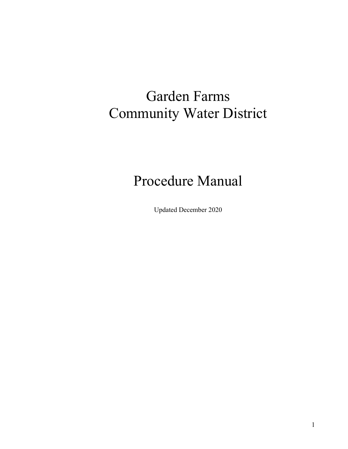# Garden Farms Community Water District

# Procedure Manual

Updated December 2020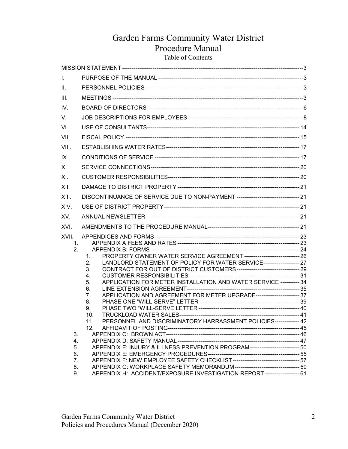## Garden Farms Community Water District Procedure Manual Table of Contents

| L.                            |                                                                                                                                                                                                                                                                                                                                                       |  |
|-------------------------------|-------------------------------------------------------------------------------------------------------------------------------------------------------------------------------------------------------------------------------------------------------------------------------------------------------------------------------------------------------|--|
| Ⅱ.                            |                                                                                                                                                                                                                                                                                                                                                       |  |
| III.                          |                                                                                                                                                                                                                                                                                                                                                       |  |
| IV.                           |                                                                                                                                                                                                                                                                                                                                                       |  |
| V.                            |                                                                                                                                                                                                                                                                                                                                                       |  |
| VI.                           |                                                                                                                                                                                                                                                                                                                                                       |  |
| VII.                          |                                                                                                                                                                                                                                                                                                                                                       |  |
| VIII.                         |                                                                                                                                                                                                                                                                                                                                                       |  |
| IX.                           |                                                                                                                                                                                                                                                                                                                                                       |  |
| Х.                            |                                                                                                                                                                                                                                                                                                                                                       |  |
| XI.                           |                                                                                                                                                                                                                                                                                                                                                       |  |
| XII.                          |                                                                                                                                                                                                                                                                                                                                                       |  |
| XIII.                         | DISCONTINUANCE OF SERVICE DUE TO NON-PAYMENT ----------------------------------- 21                                                                                                                                                                                                                                                                   |  |
| XIV.                          |                                                                                                                                                                                                                                                                                                                                                       |  |
| XV.                           |                                                                                                                                                                                                                                                                                                                                                       |  |
| XVI.                          |                                                                                                                                                                                                                                                                                                                                                       |  |
| XVII.<br>1 <sub>1</sub><br>2. | PROPERTY OWNER WATER SERVICE AGREEMENT ------------------------------ 26<br>1.<br>LANDLORD STATEMENT OF POLICY FOR WATER SERVICE------------------- 27<br>2.<br>3.<br>4.<br>APPLICATION FOR METER INSTALLATION AND WATER SERVICE ---------- 34<br>5.<br>6.<br>APPLICATION AND AGREEMENT FOR METER UPGRADE----------------------- 37<br>7.<br>8.<br>9. |  |
| 3.<br>4.<br>5.<br>6.          | 10.<br>PERSONNEL AND DISCRIMINATORY HARRASSMENT POLICIES------------- 42<br>11.<br>12.<br>APPENDIX E: INJURY & ILLNESS PREVENTION PROGRAM-------------------------- 50                                                                                                                                                                                |  |
| 7.<br>8.<br>9.                | APPENDIX G: WORKPLACE SAFETY MEMORANDUM-----------------------------------59<br>APPENDIX H: ACCIDENT/EXPOSURE INVESTIGATION REPORT ------------------- 61                                                                                                                                                                                             |  |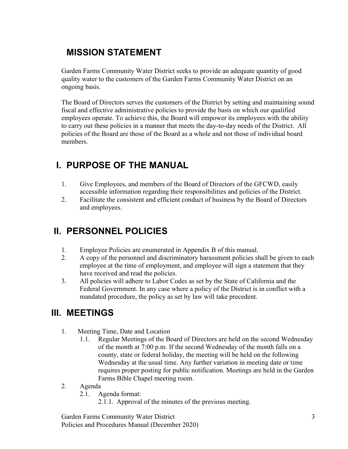## MISSION STATEMENT

Garden Farms Community Water District seeks to provide an adequate quantity of good quality water to the customers of the Garden Farms Community Water District on an ongoing basis.

The Board of Directors serves the customers of the District by setting and maintaining sound fiscal and effective administrative policies to provide the basis on which our qualified employees operate. To achieve this, the Board will empower its employees with the ability to carry out these policies in a manner that meets the day-to-day needs of the District. All policies of the Board are those of the Board as a whole and not those of individual board members.

## I. PURPOSE OF THE MANUAL

- 1. Give Employees, and members of the Board of Directors of the GFCWD, easily accessible information regarding their responsibilities and policies of the District.
- 2. Facilitate the consistent and efficient conduct of business by the Board of Directors and employees.

## II. PERSONNEL POLICIES

- 1. Employee Policies are enumerated in Appendix B of this manual.
- 2. A copy of the personnel and discriminatory harassment policies shall be given to each employee at the time of employment, and employee will sign a statement that they have received and read the policies.
- 3. All policies will adhere to Labor Codes as set by the State of California and the Federal Government. In any case where a policy of the District is in conflict with a mandated procedure, the policy as set by law will take precedent.

## III. MEETINGS

- 1. Meeting Time, Date and Location
	- 1.1. Regular Meetings of the Board of Directors are held on the second Wednesday of the month at 7:00 p.m. If the second Wednesday of the month falls on a county, state or federal holiday, the meeting will be held on the following Wednesday at the usual time. Any further variation in meeting date or time requires proper posting for public notification. Meetings are held in the Garden Farms Bible Chapel meeting room.
- 2. Agenda
	- 2.1. Agenda format:
		- 2.1.1. Approval of the minutes of the previous meeting.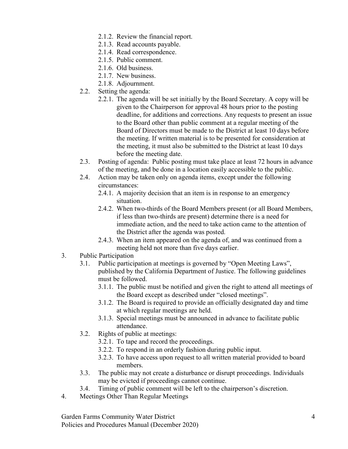- 2.1.2. Review the financial report.
- 2.1.3. Read accounts payable.
- 2.1.4. Read correspondence.
- 2.1.5. Public comment.
- 2.1.6. Old business.
- 2.1.7. New business.
- 2.1.8. Adjournment.
- 2.2. Setting the agenda:
	- 2.2.1. The agenda will be set initially by the Board Secretary. A copy will be given to the Chairperson for approval 48 hours prior to the posting deadline, for additions and corrections. Any requests to present an issue to the Board other than public comment at a regular meeting of the Board of Directors must be made to the District at least 10 days before the meeting. If written material is to be presented for consideration at the meeting, it must also be submitted to the District at least 10 days before the meeting date.
- 2.3. Posting of agenda: Public posting must take place at least 72 hours in advance of the meeting, and be done in a location easily accessible to the public.
- 2.4. Action may be taken only on agenda items, except under the following circumstances:
	- 2.4.1. A majority decision that an item is in response to an emergency situation.
	- 2.4.2. When two-thirds of the Board Members present (or all Board Members, if less than two-thirds are present) determine there is a need for immediate action, and the need to take action came to the attention of the District after the agenda was posted.
	- 2.4.3. When an item appeared on the agenda of, and was continued from a meeting held not more than five days earlier.
- 3. Public Participation
	- 3.1. Public participation at meetings is governed by "Open Meeting Laws", published by the California Department of Justice. The following guidelines must be followed.
		- 3.1.1. The public must be notified and given the right to attend all meetings of the Board except as described under "closed meetings".
		- 3.1.2. The Board is required to provide an officially designated day and time at which regular meetings are held.
		- 3.1.3. Special meetings must be announced in advance to facilitate public attendance.
	- 3.2. Rights of public at meetings:
		- 3.2.1. To tape and record the proceedings.
		- 3.2.2. To respond in an orderly fashion during public input.
		- 3.2.3. To have access upon request to all written material provided to board members.
	- 3.3. The public may not create a disturbance or disrupt proceedings. Individuals may be evicted if proceedings cannot continue.
	- 3.4. Timing of public comment will be left to the chairperson's discretion.
- 4. Meetings Other Than Regular Meetings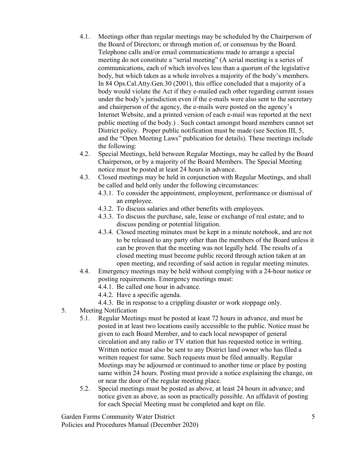- 4.1. Meetings other than regular meetings may be scheduled by the Chairperson of the Board of Directors; or through motion of, or consensus by the Board. Telephone calls and/or email communications made to arrange a special meeting do not constitute a "serial meeting" (A serial meeting is a series of communications, each of which involves less than a quorum of the legislative body, but which taken as a whole involves a majority of the body's members. In 84 Ops.Cal.Atty.Gen.30 (2001), this office concluded that a majority of a body would violate the Act if they e-mailed each other regarding current issues under the body's jurisdiction even if the e-mails were also sent to the secretary and chairperson of the agency, the e-mails were posted on the agency's Internet Website, and a printed version of each e-mail was reported at the next public meeting of the body.) . Such contact amongst board members cannot set District policy. Proper public notification must be made (see Section III, 5, and the "Open Meeting Laws" publication for details). These meetings include the following:
- 4.2. Special Meetings, held between Regular Meetings, may be called by the Board Chairperson, or by a majority of the Board Members. The Special Meeting notice must be posted at least 24 hours in advance.
- 4.3. Closed meetings may be held in conjunction with Regular Meetings, and shall be called and held only under the following circumstances:
	- 4.3.1. To consider the appointment, employment, performance or dismissal of an employee.
	- 4.3.2. To discuss salaries and other benefits with employees.
	- 4.3.3. To discuss the purchase, sale, lease or exchange of real estate; and to discuss pending or potential litigation.
	- 4.3.4. Closed meeting minutes must be kept in a minute notebook, and are not to be released to any party other than the members of the Board unless it can be proven that the meeting was not legally held. The results of a closed meeting must become public record through action taken at an open meeting, and recording of said action in regular meeting minutes.
- 4.4. Emergency meetings may be held without complying with a 24-hour notice or posting requirements. Emergency meetings must:

4.4.1. Be called one hour in advance.

- 4.4.2. Have a specific agenda.
- 4.4.3. Be in response to a crippling disaster or work stoppage only.
- 5. Meeting Notification
	- 5.1. Regular Meetings must be posted at least 72 hours in advance, and must be posted in at least two locations easily accessible to the public. Notice must be given to each Board Member, and to each local newspaper of general circulation and any radio or TV station that has requested notice in writing. Written notice must also be sent to any District land owner who has filed a written request for same. Such requests must be filed annually. Regular Meetings may be adjourned or continued to another time or place by posting same within 24 hours. Posting must provide a notice explaining the change, on or near the door of the regular meeting place.
	- 5.2. Special meetings must be posted as above, at least 24 hours in advance; and notice given as above, as soon as practically possible. An affidavit of posting for each Special Meeting must be completed and kept on file.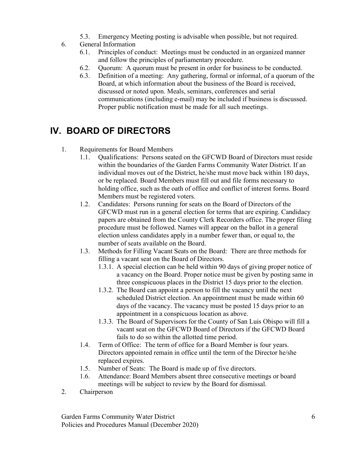- 5.3. Emergency Meeting posting is advisable when possible, but not required.
- 6. General Information
	- 6.1. Principles of conduct: Meetings must be conducted in an organized manner and follow the principles of parliamentary procedure.
	- 6.2. Quorum: A quorum must be present in order for business to be conducted.
	- 6.3. Definition of a meeting: Any gathering, formal or informal, of a quorum of the Board, at which information about the business of the Board is received, discussed or noted upon. Meals, seminars, conferences and serial communications (including e-mail) may be included if business is discussed. Proper public notification must be made for all such meetings.

## IV. BOARD OF DIRECTORS

- 1. Requirements for Board Members
	- 1.1. Qualifications: Persons seated on the GFCWD Board of Directors must reside within the boundaries of the Garden Farms Community Water District. If an individual moves out of the District, he/she must move back within 180 days, or be replaced. Board Members must fill out and file forms necessary to holding office, such as the oath of office and conflict of interest forms. Board Members must be registered voters.
	- 1.2. Candidates: Persons running for seats on the Board of Directors of the GFCWD must run in a general election for terms that are expiring. Candidacy papers are obtained from the County Clerk Recorders office. The proper filing procedure must be followed. Names will appear on the ballot in a general election unless candidates apply in a number fewer than, or equal to, the number of seats available on the Board.
	- 1.3. Methods for Filling Vacant Seats on the Board: There are three methods for filling a vacant seat on the Board of Directors.
		- 1.3.1. A special election can be held within 90 days of giving proper notice of a vacancy on the Board. Proper notice must be given by posting same in three conspicuous places in the District 15 days prior to the election.
		- 1.3.2. The Board can appoint a person to fill the vacancy until the next scheduled District election. An appointment must be made within 60 days of the vacancy. The vacancy must be posted 15 days prior to an appointment in a conspicuous location as above.
		- 1.3.3. The Board of Supervisors for the County of San Luis Obispo will fill a vacant seat on the GFCWD Board of Directors if the GFCWD Board fails to do so within the allotted time period.
	- 1.4. Term of Office: The term of office for a Board Member is four years. Directors appointed remain in office until the term of the Director he/she replaced expires.
	- 1.5. Number of Seats: The Board is made up of five directors.
	- 1.6. Attendance: Board Members absent three consecutive meetings or board meetings will be subject to review by the Board for dismissal.
- 2. Chairperson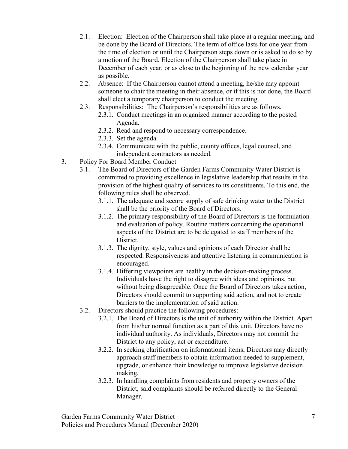- 2.1. Election: Election of the Chairperson shall take place at a regular meeting, and be done by the Board of Directors. The term of office lasts for one year from the time of election or until the Chairperson steps down or is asked to do so by a motion of the Board. Election of the Chairperson shall take place in December of each year, or as close to the beginning of the new calendar year as possible.
- 2.2. Absence: If the Chairperson cannot attend a meeting, he/she may appoint someone to chair the meeting in their absence, or if this is not done, the Board shall elect a temporary chairperson to conduct the meeting.
- 2.3. Responsibilities: The Chairperson's responsibilities are as follows.
	- 2.3.1. Conduct meetings in an organized manner according to the posted Agenda.
	- 2.3.2. Read and respond to necessary correspondence.
	- 2.3.3. Set the agenda.
	- 2.3.4. Communicate with the public, county offices, legal counsel, and independent contractors as needed.
- 3. Policy For Board Member Conduct
	- 3.1. The Board of Directors of the Garden Farms Community Water District is committed to providing excellence in legislative leadership that results in the provision of the highest quality of services to its constituents. To this end, the following rules shall be observed.
		- 3.1.1. The adequate and secure supply of safe drinking water to the District shall be the priority of the Board of Directors.
		- 3.1.2. The primary responsibility of the Board of Directors is the formulation and evaluation of policy. Routine matters concerning the operational aspects of the District are to be delegated to staff members of the District.
		- 3.1.3. The dignity, style, values and opinions of each Director shall be respected. Responsiveness and attentive listening in communication is encouraged.
		- 3.1.4. Differing viewpoints are healthy in the decision-making process. Individuals have the right to disagree with ideas and opinions, but without being disagreeable. Once the Board of Directors takes action, Directors should commit to supporting said action, and not to create barriers to the implementation of said action.
	- 3.2. Directors should practice the following procedures:
		- 3.2.1. The Board of Directors is the unit of authority within the District. Apart from his/her normal function as a part of this unit, Directors have no individual authority. As individuals, Directors may not commit the District to any policy, act or expenditure.
		- 3.2.2. In seeking clarification on informational items, Directors may directly approach staff members to obtain information needed to supplement, upgrade, or enhance their knowledge to improve legislative decision making.
		- 3.2.3. In handling complaints from residents and property owners of the District, said complaints should be referred directly to the General Manager.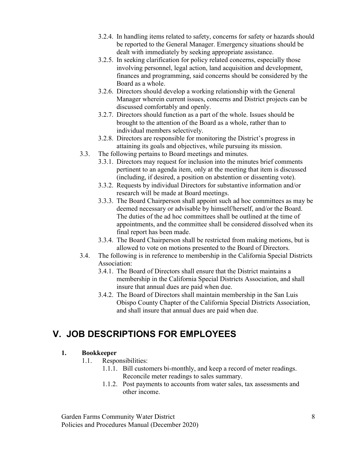- 3.2.4. In handling items related to safety, concerns for safety or hazards should be reported to the General Manager. Emergency situations should be dealt with immediately by seeking appropriate assistance.
- 3.2.5. In seeking clarification for policy related concerns, especially those involving personnel, legal action, land acquisition and development, finances and programming, said concerns should be considered by the Board as a whole.
- 3.2.6. Directors should develop a working relationship with the General Manager wherein current issues, concerns and District projects can be discussed comfortably and openly.
- 3.2.7. Directors should function as a part of the whole. Issues should be brought to the attention of the Board as a whole, rather than to individual members selectively.
- 3.2.8. Directors are responsible for monitoring the District's progress in attaining its goals and objectives, while pursuing its mission.
- 3.3. The following pertains to Board meetings and minutes.
	- 3.3.1. Directors may request for inclusion into the minutes brief comments pertinent to an agenda item, only at the meeting that item is discussed (including, if desired, a position on abstention or dissenting vote).
	- 3.3.2. Requests by individual Directors for substantive information and/or research will be made at Board meetings.
	- 3.3.3. The Board Chairperson shall appoint such ad hoc committees as may be deemed necessary or advisable by himself/herself, and/or the Board. The duties of the ad hoc committees shall be outlined at the time of appointments, and the committee shall be considered dissolved when its final report has been made.
	- 3.3.4. The Board Chairperson shall be restricted from making motions, but is allowed to vote on motions presented to the Board of Directors.
- 3.4. The following is in reference to membership in the California Special Districts Association:
	- 3.4.1. The Board of Directors shall ensure that the District maintains a membership in the California Special Districts Association, and shall insure that annual dues are paid when due.
	- 3.4.2. The Board of Directors shall maintain membership in the San Luis Obispo County Chapter of the California Special Districts Association, and shall insure that annual dues are paid when due.

## V. JOB DESCRIPTIONS FOR EMPLOYEES

## 1. Bookkeeper

- 1.1. Responsibilities:
	- 1.1.1. Bill customers bi-monthly, and keep a record of meter readings. Reconcile meter readings to sales summary.
	- 1.1.2. Post payments to accounts from water sales, tax assessments and other income.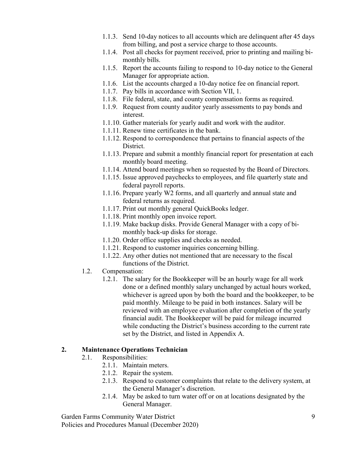- 1.1.3. Send 10-day notices to all accounts which are delinquent after 45 days from billing, and post a service charge to those accounts.
- 1.1.4. Post all checks for payment received, prior to printing and mailing bimonthly bills.
- 1.1.5. Report the accounts failing to respond to 10-day notice to the General Manager for appropriate action.
- 1.1.6. List the accounts charged a 10-day notice fee on financial report.
- 1.1.7. Pay bills in accordance with Section VII, 1.
- 1.1.8. File federal, state, and county compensation forms as required.
- 1.1.9. Request from county auditor yearly assessments to pay bonds and interest.
- 1.1.10. Gather materials for yearly audit and work with the auditor.
- 1.1.11. Renew time certificates in the bank.
- 1.1.12. Respond to correspondence that pertains to financial aspects of the District.
- 1.1.13. Prepare and submit a monthly financial report for presentation at each monthly board meeting.
- 1.1.14. Attend board meetings when so requested by the Board of Directors.
- 1.1.15. Issue approved paychecks to employees, and file quarterly state and federal payroll reports.
- 1.1.16. Prepare yearly W2 forms, and all quarterly and annual state and federal returns as required.
- 1.1.17. Print out monthly general QuickBooks ledger.
- 1.1.18. Print monthly open invoice report.
- 1.1.19. Make backup disks. Provide General Manager with a copy of bimonthly back-up disks for storage.
- 1.1.20. Order office supplies and checks as needed.
- 1.1.21. Respond to customer inquiries concerning billing.
- 1.1.22. Any other duties not mentioned that are necessary to the fiscal functions of the District.
- 1.2. Compensation:
	- 1.2.1. The salary for the Bookkeeper will be an hourly wage for all work done or a defined monthly salary unchanged by actual hours worked, whichever is agreed upon by both the board and the bookkeeper, to be paid monthly. Mileage to be paid in both instances. Salary will be reviewed with an employee evaluation after completion of the yearly financial audit. The Bookkeeper will be paid for mileage incurred while conducting the District's business according to the current rate set by the District, and listed in Appendix A.

## 2. Maintenance Operations Technician

- 2.1. Responsibilities:
	- 2.1.1. Maintain meters.
	- 2.1.2. Repair the system.
	- 2.1.3. Respond to customer complaints that relate to the delivery system, at the General Manager's discretion.
	- 2.1.4. May be asked to turn water off or on at locations designated by the General Manager.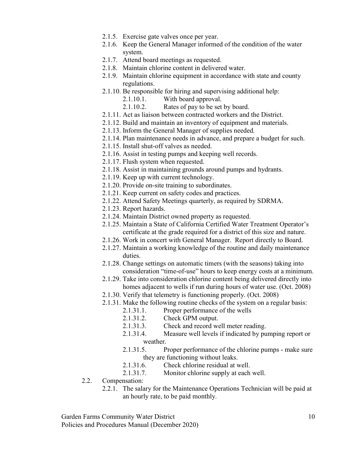- 2.1.5. Exercise gate valves once per year.
- 2.1.6. Keep the General Manager informed of the condition of the water system.
- 2.1.7. Attend board meetings as requested.
- 2.1.8. Maintain chlorine content in delivered water.
- 2.1.9. Maintain chlorine equipment in accordance with state and county regulations.
- 2.1.10. Be responsible for hiring and supervising additional help:
	- 2.1.10.1. With board approval.
	- 2.1.10.2. Rates of pay to be set by board.
- 2.1.11. Act as liaison between contracted workers and the District.
- 2.1.12. Build and maintain an inventory of equipment and materials.
- 2.1.13. Inform the General Manager of supplies needed.
- 2.1.14. Plan maintenance needs in advance, and prepare a budget for such.
- 2.1.15. Install shut-off valves as needed.
- 2.1.16. Assist in testing pumps and keeping well records.
- 2.1.17. Flush system when requested.
- 2.1.18. Assist in maintaining grounds around pumps and hydrants.
- 2.1.19. Keep up with current technology.
- 2.1.20. Provide on-site training to subordinates.
- 2.1.21. Keep current on safety codes and practices.
- 2.1.22. Attend Safety Meetings quarterly, as required by SDRMA.
- 2.1.23. Report hazards.
- 2.1.24. Maintain District owned property as requested.
- 2.1.25. Maintain a State of California Certified Water Treatment Operator's certificate at the grade required for a district of this size and nature.
- 2.1.26. Work in concert with General Manager. Report directly to Board.
- 2.1.27. Maintain a working knowledge of the routine and daily maintenance duties.
- 2.1.28. Change settings on automatic timers (with the seasons) taking into consideration "time-of-use" hours to keep energy costs at a minimum.
- 2.1.29. Take into consideration chlorine content being delivered directly into homes adjacent to wells if run during hours of water use. (Oct. 2008)
- 2.1.30. Verify that telemetry is functioning properly. (Oct. 2008)
- 2.1.31. Make the following routine checks of the system on a regular basis:
	- 2.1.31.1. Proper performance of the wells
	- 2.1.31.2. Check GPM output.
	- 2.1.31.3. Check and record well meter reading.
	- 2.1.31.4. Measure well levels if indicated by pumping report or weather.
	- 2.1.31.5. Proper performance of the chlorine pumps make sure they are functioning without leaks.
	- 2.1.31.6. Check chlorine residual at well.
	- 2.1.31.7. Monitor chlorine supply at each well.
- 2.2. Compensation:
	- 2.2.1. The salary for the Maintenance Operations Technician will be paid at an hourly rate, to be paid monthly.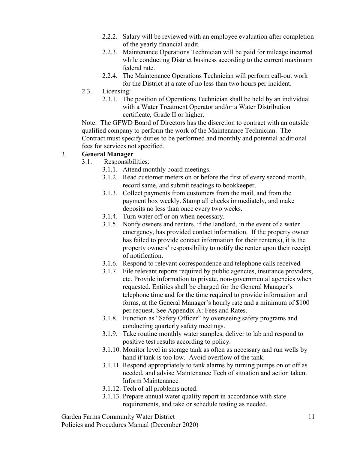- 2.2.2. Salary will be reviewed with an employee evaluation after completion of the yearly financial audit.
- 2.2.3. Maintenance Operations Technician will be paid for mileage incurred while conducting District business according to the current maximum federal rate.
- 2.2.4. The Maintenance Operations Technician will perform call-out work for the District at a rate of no less than two hours per incident.
- 2.3. Licensing:
	- 2.3.1. The position of Operations Technician shall be held by an individual with a Water Treatment Operator and/or a Water Distribution certificate, Grade II or higher.

Note: The GFWD Board of Directors has the discretion to contract with an outside qualified company to perform the work of the Maintenance Technician. The Contract must specify duties to be performed and monthly and potential additional fees for services not specified.

## 3. General Manager

- 3.1. Responsibilities:
	- 3.1.1. Attend monthly board meetings.
	- 3.1.2. Read customer meters on or before the first of every second month, record same, and submit readings to bookkeeper.
	- 3.1.3. Collect payments from customers from the mail, and from the payment box weekly. Stamp all checks immediately, and make deposits no less than once every two weeks.
	- 3.1.4. Turn water off or on when necessary.
	- 3.1.5. Notify owners and renters, if the landlord, in the event of a water emergency, has provided contact information. If the property owner has failed to provide contact information for their renter(s), it is the property owners' responsibility to notify the renter upon their receipt of notification.
	- 3.1.6. Respond to relevant correspondence and telephone calls received.
	- 3.1.7. File relevant reports required by public agencies, insurance providers, etc. Provide information to private, non-governmental agencies when requested. Entities shall be charged for the General Manager's telephone time and for the time required to provide information and forms, at the General Manager's hourly rate and a minimum of \$100 per request. See Appendix A: Fees and Rates.
	- 3.1.8. Function as "Safety Officer" by overseeing safety programs and conducting quarterly safety meetings.
	- 3.1.9. Take routine monthly water samples, deliver to lab and respond to positive test results according to policy.
	- 3.1.10. Monitor level in storage tank as often as necessary and run wells by hand if tank is too low. Avoid overflow of the tank.
	- 3.1.11. Respond appropriately to tank alarms by turning pumps on or off as needed, and advise Maintenance Tech of situation and action taken. Inform Maintenance
	- 3.1.12. Tech of all problems noted.
	- 3.1.13. Prepare annual water quality report in accordance with state requirements, and take or schedule testing as needed.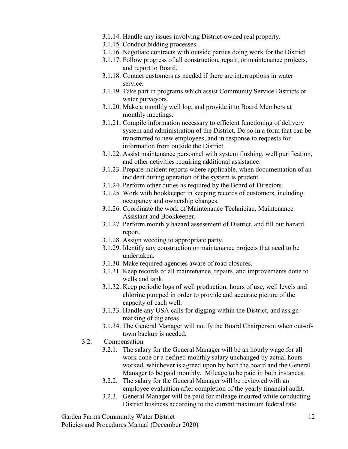- 3.1.14. Handle any issues involving District-owned real property.
- 3.1.15. Conduct bidding processes.
- 3.1.16. Negotiate contracts with outside parties doing work for the District.
- 3.1.17. Follow progress of all construction, repair, or maintenance projects, and report to Board.
- 3.1.18. Contact customers as needed if there are interruptions in water service.
- 3.1.19. Take part in programs which assist Community Service Districts or water purveyors.
- 3.1.20. Make a monthly well log, and provide it to Board Members at monthly meetings.
- 3.1.21. Compile information necessary to efficient functioning of delivery system and administration of the District. Do so in a form that can be transmitted to new employees, and in response to requests for information from outside the District.
- 3.1.22. Assist maintenance personnel with system flushing, well purification, and other activities requiring additional assistance.
- 3.1.23. Prepare incident reports where applicable, when documentation of an incident during operation of the system is prudent.
- 3.1.24. Perform other duties as required by the Board of Directors.
- 3.1.25. Work with bookkeeper in keeping records of customers, including occupancy and ownership changes.
- 3.1.26. Coordinate the work of Maintenance Technician, Maintenance Assistant and Bookkeeper.
- 3.1.27. Perform monthly hazard assessment of District, and fill out hazard report.
- 3.1.28. Assign weeding to appropriate party.
- 3.1.29. Identify any construction or maintenance projects that need to be undertaken.
- 3.1.30. Make required agencies aware of road closures.
- 3.1.31. Keep records of all maintenance, repairs, and improvements done to wells and tank.
- 3.1.32. Keep periodic logs of well production, hours of use, well levels and chlorine pumped in order to provide and accurate picture of the capacity of each well.
- 3.1.33. Handle any USA calls for digging within the District, and assign marking of dig areas.
- 3.1.34. The General Manager will notify the Board Chairperson when out-oftown backup is needed.
- 3.2. Compensation
	- 3.2.1. The salary for the General Manager will be an hourly wage for all work done or a defined monthly salary unchanged by actual hours worked, whichever is agreed upon by both the board and the General Manager to be paid monthly. Mileage to be paid in both instances.
	- 3.2.2. The salary for the General Manager will be reviewed with an employee evaluation after completion of the yearly financial audit.
	- 3.2.3. General Manager will be paid for mileage incurred while conducting District business according to the current maximum federal rate.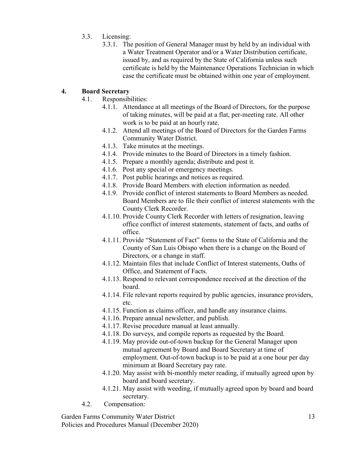- 3.3. Licensing:
	- 3.3.1. The position of General Manager must by held by an individual with a Water Treatment Operator and/or a Water Distribution certificate, issued by, and as required by the State of California unless such certificate is held by the Maintenance Operations Technician in which case the certificate must be obtained within one year of employment.

## 4. Board Secretary

- 4.1. Responsibilities:
	- 4.1.1. Attendance at all meetings of the Board of Directors, for the purpose of taking minutes, will be paid at a flat, per-meeting rate. All other work is to be paid at an hourly rate.
	- 4.1.2. Attend all meetings of the Board of Directors for the Garden Farms Community Water District.
	- 4.1.3. Take minutes at the meetings.
	- 4.1.4. Provide minutes to the Board of Directors in a timely fashion.
	- 4.1.5. Prepare a monthly agenda; distribute and post it.
	- 4.1.6. Post any special or emergency meetings.
	- 4.1.7. Post public hearings and notices as required.
	- 4.1.8. Provide Board Members with election information as needed.
	- 4.1.9. Provide conflict of interest statements to Board Members as needed. Board Members are to file their conflict of interest statements with the County Clerk Recorder.
	- 4.1.10. Provide County Clerk Recorder with letters of resignation, leaving office conflict of interest statements, statement of facts, and oaths of office.
	- 4.1.11. Provide "Statement of Fact" forms to the State of California and the County of San Luis Obispo when there is a change on the Board of Directors, or a change in staff.
	- 4.1.12. Maintain files that include Conflict of Interest statements, Oaths of Office, and Statement of Facts.
	- 4.1.13. Respond to relevant correspondence received at the direction of the board.
	- 4.1.14. File relevant reports required by public agencies, insurance providers, etc.
	- 4.1.15. Function as claims officer, and handle any insurance claims.
	- 4.1.16. Prepare annual newsletter, and publish.
	- 4.1.17. Revise procedure manual at least annually.
	- 4.1.18. Do surveys, and compile reports as requested by the Board.
	- 4.1.19. May provide out-of-town backup for the General Manager upon mutual agreement by Board and Board Secretary at time of employment. Out-of-town backup is to be paid at a one hour per day minimum at Board Secretary pay rate.
	- 4.1.20. May assist with bi-monthly meter reading, if mutually agreed upon by board and board secretary.
	- 4.1.21. May assist with weeding, if mutually agreed upon by board and board secretary.
- 4.2. Compensation: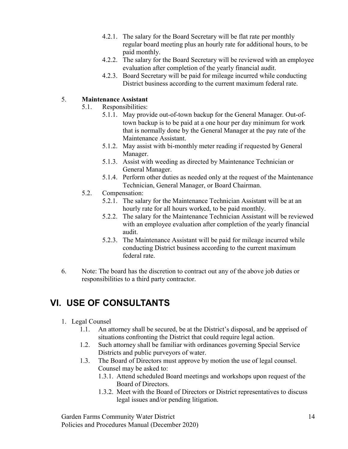- 4.2.1. The salary for the Board Secretary will be flat rate per monthly regular board meeting plus an hourly rate for additional hours, to be paid monthly.
- 4.2.2. The salary for the Board Secretary will be reviewed with an employee evaluation after completion of the yearly financial audit.
- 4.2.3. Board Secretary will be paid for mileage incurred while conducting District business according to the current maximum federal rate.

## 5. Maintenance Assistant

- 5.1. Responsibilities:
	- 5.1.1. May provide out-of-town backup for the General Manager. Out-oftown backup is to be paid at a one hour per day minimum for work that is normally done by the General Manager at the pay rate of the Maintenance Assistant.
	- 5.1.2. May assist with bi-monthly meter reading if requested by General Manager.
	- 5.1.3. Assist with weeding as directed by Maintenance Technician or General Manager.
	- 5.1.4. Perform other duties as needed only at the request of the Maintenance Technician, General Manager, or Board Chairman.
- 5.2. Compensation:
	- 5.2.1. The salary for the Maintenance Technician Assistant will be at an hourly rate for all hours worked, to be paid monthly.
	- 5.2.2. The salary for the Maintenance Technician Assistant will be reviewed with an employee evaluation after completion of the yearly financial audit.
	- 5.2.3. The Maintenance Assistant will be paid for mileage incurred while conducting District business according to the current maximum federal rate.
- 6. Note: The board has the discretion to contract out any of the above job duties or responsibilities to a third party contractor.

## VI. USE OF CONSULTANTS

- 1. Legal Counsel
	- 1.1. An attorney shall be secured, be at the District's disposal, and be apprised of situations confronting the District that could require legal action.
	- 1.2. Such attorney shall be familiar with ordinances governing Special Service Districts and public purveyors of water.
	- 1.3. The Board of Directors must approve by motion the use of legal counsel. Counsel may be asked to:
		- 1.3.1. Attend scheduled Board meetings and workshops upon request of the Board of Directors.
		- 1.3.2. Meet with the Board of Directors or District representatives to discuss legal issues and/or pending litigation.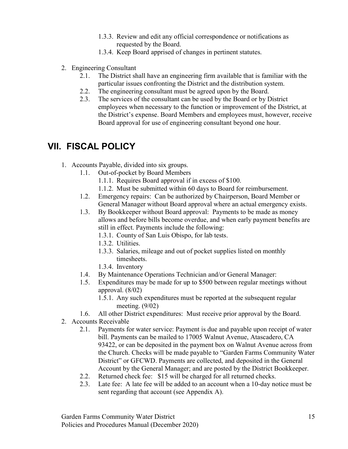- 1.3.3. Review and edit any official correspondence or notifications as requested by the Board.
- 1.3.4. Keep Board apprised of changes in pertinent statutes.
- 2. Engineering Consultant
	- 2.1. The District shall have an engineering firm available that is familiar with the particular issues confronting the District and the distribution system.
	- 2.2. The engineering consultant must be agreed upon by the Board.
	- 2.3. The services of the consultant can be used by the Board or by District employees when necessary to the function or improvement of the District, at the District's expense. Board Members and employees must, however, receive Board approval for use of engineering consultant beyond one hour.

## VII. FISCAL POLICY

- 1. Accounts Payable, divided into six groups.
	- 1.1. Out-of-pocket by Board Members
		- 1.1.1. Requires Board approval if in excess of \$100.
		- 1.1.2. Must be submitted within 60 days to Board for reimbursement.
	- 1.2. Emergency repairs: Can be authorized by Chairperson, Board Member or General Manager without Board approval where an actual emergency exists.
	- 1.3. By Bookkeeper without Board approval: Payments to be made as money allows and before bills become overdue, and when early payment benefits are still in effect. Payments include the following:
		- 1.3.1. County of San Luis Obispo, for lab tests.
		- 1.3.2. Utilities.
		- 1.3.3. Salaries, mileage and out of pocket supplies listed on monthly timesheets.
		- 1.3.4. Inventory
	- 1.4. By Maintenance Operations Technician and/or General Manager:
	- 1.5. Expenditures may be made for up to \$500 between regular meetings without approval. (8/02)
		- 1.5.1. Any such expenditures must be reported at the subsequent regular meeting. (9/02)
	- 1.6. All other District expenditures: Must receive prior approval by the Board.
- 2. Accounts Receivable
	- 2.1. Payments for water service: Payment is due and payable upon receipt of water bill. Payments can be mailed to 17005 Walnut Avenue, Atascadero, CA 93422, or can be deposited in the payment box on Walnut Avenue across from the Church. Checks will be made payable to "Garden Farms Community Water District" or GFCWD. Payments are collected, and deposited in the General Account by the General Manager; and are posted by the District Bookkeeper.
	- 2.2. Returned check fee: \$15 will be charged for all returned checks.
	- 2.3. Late fee: A late fee will be added to an account when a 10-day notice must be sent regarding that account (see Appendix A).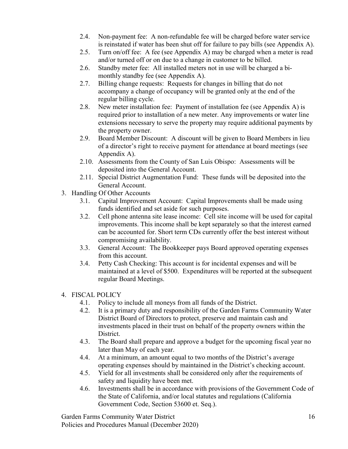- 2.4. Non-payment fee: A non-refundable fee will be charged before water service is reinstated if water has been shut off for failure to pay bills (see Appendix A).
- 2.5. Turn on/off fee: A fee (see Appendix A) may be charged when a meter is read and/or turned off or on due to a change in customer to be billed.
- 2.6. Standby meter fee: All installed meters not in use will be charged a bimonthly standby fee (see Appendix A).
- 2.7. Billing change requests: Requests for changes in billing that do not accompany a change of occupancy will be granted only at the end of the regular billing cycle.
- 2.8. New meter installation fee: Payment of installation fee (see Appendix A) is required prior to installation of a new meter. Any improvements or water line extensions necessary to serve the property may require additional payments by the property owner.
- 2.9. Board Member Discount: A discount will be given to Board Members in lieu of a director's right to receive payment for attendance at board meetings (see Appendix A).
- 2.10. Assessments from the County of San Luis Obispo: Assessments will be deposited into the General Account.
- 2.11. Special District Augmentation Fund: These funds will be deposited into the General Account.
- 3. Handling Of Other Accounts
	- 3.1. Capital Improvement Account: Capital Improvements shall be made using funds identified and set aside for such purposes.
	- 3.2. Cell phone antenna site lease income: Cell site income will be used for capital improvements. This income shall be kept separately so that the interest earned can be accounted for. Short term CDs currently offer the best interest without compromising availability.
	- 3.3. General Account: The Bookkeeper pays Board approved operating expenses from this account.
	- 3.4. Petty Cash Checking: This account is for incidental expenses and will be maintained at a level of \$500. Expenditures will be reported at the subsequent regular Board Meetings.

## 4. FISCAL POLICY

- 4.1. Policy to include all moneys from all funds of the District.
- 4.2. It is a primary duty and responsibility of the Garden Farms Community Water District Board of Directors to protect, preserve and maintain cash and investments placed in their trust on behalf of the property owners within the District.
- 4.3. The Board shall prepare and approve a budget for the upcoming fiscal year no later than May of each year.
- 4.4. At a minimum, an amount equal to two months of the District's average operating expenses should by maintained in the District's checking account.
- 4.5. Yield for all investments shall be considered only after the requirements of safety and liquidity have been met.
- 4.6. Investments shall be in accordance with provisions of the Government Code of the State of California, and/or local statutes and regulations (California Government Code, Section 53600 et. Seq.).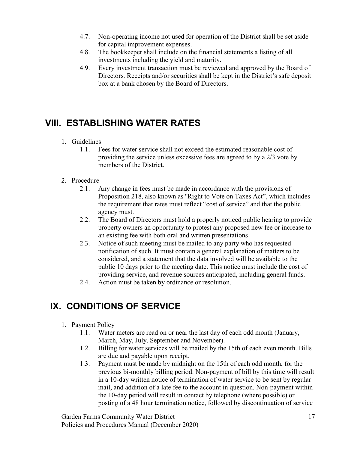- 4.7. Non-operating income not used for operation of the District shall be set aside for capital improvement expenses.
- 4.8. The bookkeeper shall include on the financial statements a listing of all investments including the yield and maturity.
- 4.9. Every investment transaction must be reviewed and approved by the Board of Directors. Receipts and/or securities shall be kept in the District's safe deposit box at a bank chosen by the Board of Directors.

## VIII. ESTABLISHING WATER RATES

## 1. Guidelines

1.1. Fees for water service shall not exceed the estimated reasonable cost of providing the service unless excessive fees are agreed to by a 2/3 vote by members of the District.

## 2. Procedure

- 2.1. Any change in fees must be made in accordance with the provisions of Proposition 218, also known as ''Right to Vote on Taxes Act", which includes the requirement that rates must reflect "cost of service" and that the public agency must.
- 2.2. The Board of Directors must hold a properly noticed public hearing to provide property owners an opportunity to protest any proposed new fee or increase to an existing fee with both oral and written presentations
- 2.3. Notice of such meeting must be mailed to any party who has requested notification of such. It must contain a general explanation of matters to be considered, and a statement that the data involved will be available to the public 10 days prior to the meeting date. This notice must include the cost of providing service, and revenue sources anticipated, including general funds.
- 2.4. Action must be taken by ordinance or resolution.

## IX. CONDITIONS OF SERVICE

## 1. Payment Policy

- 1.1. Water meters are read on or near the last day of each odd month (January, March, May, July, September and November).
- 1.2. Billing for water services will be mailed by the 15th of each even month. Bills are due and payable upon receipt.
- 1.3. Payment must be made by midnight on the 15th of each odd month, for the previous bi-monthly billing period. Non-payment of bill by this time will result in a 10-day written notice of termination of water service to be sent by regular mail, and addition of a late fee to the account in question. Non-payment within the 10-day period will result in contact by telephone (where possible) or posting of a 48 hour termination notice, followed by discontinuation of service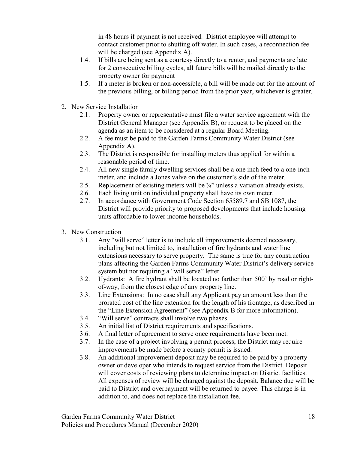in 48 hours if payment is not received. District employee will attempt to contact customer prior to shutting off water. In such cases, a reconnection fee will be charged (see Appendix A).

- 1.4. If bills are being sent as a courtesy directly to a renter, and payments are late for 2 consecutive billing cycles, all future bills will be mailed directly to the property owner for payment
- 1.5. If a meter is broken or non-accessible, a bill will be made out for the amount of the previous billing, or billing period from the prior year, whichever is greater.
- 2. New Service Installation
	- 2.1. Property owner or representative must file a water service agreement with the District General Manager (see Appendix B), or request to be placed on the agenda as an item to be considered at a regular Board Meeting.
	- 2.2. A fee must be paid to the Garden Farms Community Water District (see Appendix A).
	- 2.3. The District is responsible for installing meters thus applied for within a reasonable period of time.
	- 2.4. All new single family dwelling services shall be a one inch feed to a one-inch meter, and include a Jones valve on the customer's side of the meter.
	- 2.5. Replacement of existing meters will be  $\frac{3}{4}$ " unless a variation already exists.
	- 2.6. Each living unit on individual property shall have its own meter.
	- 2.7. In accordance with Government Code Section 65589.7 and SB 1087, the District will provide priority to proposed developments that include housing units affordable to lower income households.
- 3. New Construction
	- 3.1. Any "will serve" letter is to include all improvements deemed necessary, including but not limited to, installation of fire hydrants and water line extensions necessary to serve property. The same is true for any construction plans affecting the Garden Farms Community Water District's delivery service system but not requiring a "will serve" letter.
	- 3.2. Hydrants: A fire hydrant shall be located no farther than 500' by road or rightof-way, from the closest edge of any property line.
	- 3.3. Line Extensions: In no case shall any Applicant pay an amount less than the prorated cost of the line extension for the length of his frontage, as described in the "Line Extension Agreement" (see Appendix B for more information).
	- 3.4. "Will serve" contracts shall involve two phases.
	- 3.5. An initial list of District requirements and specifications.
	- 3.6. A final letter of agreement to serve once requirements have been met.
	- 3.7. In the case of a project involving a permit process, the District may require improvements be made before a county permit is issued.
	- 3.8. An additional improvement deposit may be required to be paid by a property owner or developer who intends to request service from the District. Deposit will cover costs of reviewing plans to determine impact on District facilities. All expenses of review will be charged against the deposit. Balance due will be paid to District and overpayment will be returned to payee. This charge is in addition to, and does not replace the installation fee.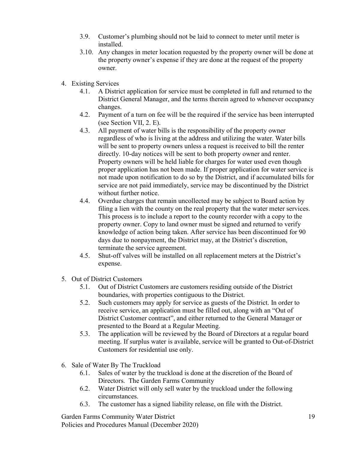- 3.9. Customer's plumbing should not be laid to connect to meter until meter is installed.
- 3.10. Any changes in meter location requested by the property owner will be done at the property owner's expense if they are done at the request of the property owner.
- 4. Existing Services
	- 4.1. A District application for service must be completed in full and returned to the District General Manager, and the terms therein agreed to whenever occupancy changes.
	- 4.2. Payment of a turn on fee will be the required if the service has been interrupted (see Section VII, 2. E).
	- 4.3. All payment of water bills is the responsibility of the property owner regardless of who is living at the address and utilizing the water. Water bills will be sent to property owners unless a request is received to bill the renter directly. 10-day notices will be sent to both property owner and renter. Property owners will be held liable for charges for water used even though proper application has not been made. If proper application for water service is not made upon notification to do so by the District, and if accumulated bills for service are not paid immediately, service may be discontinued by the District without further notice.
	- 4.4. Overdue charges that remain uncollected may be subject to Board action by filing a lien with the county on the real property that the water meter services. This process is to include a report to the county recorder with a copy to the property owner. Copy to land owner must be signed and returned to verify knowledge of action being taken. After service has been discontinued for 90 days due to nonpayment, the District may, at the District's discretion, terminate the service agreement.
	- 4.5. Shut-off valves will be installed on all replacement meters at the District's expense.
- 5. Out of District Customers
	- 5.1. Out of District Customers are customers residing outside of the District boundaries, with properties contiguous to the District.
	- 5.2. Such customers may apply for service as guests of the District. In order to receive service, an application must be filled out, along with an "Out of District Customer contract", and either returned to the General Manager or presented to the Board at a Regular Meeting.
	- 5.3. The application will be reviewed by the Board of Directors at a regular board meeting. If surplus water is available, service will be granted to Out-of-District Customers for residential use only.
- 6. Sale of Water By The Truckload
	- 6.1. Sales of water by the truckload is done at the discretion of the Board of Directors. The Garden Farms Community
	- 6.2. Water District will only sell water by the truckload under the following circumstances.
	- 6.3. The customer has a signed liability release, on file with the District.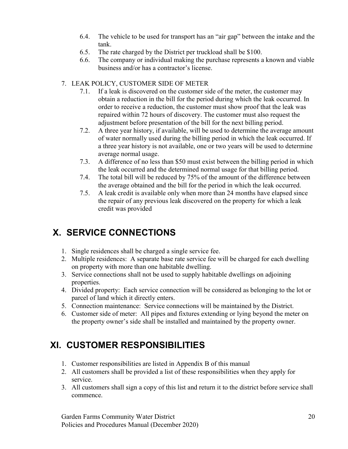- 6.4. The vehicle to be used for transport has an "air gap" between the intake and the tank.
- 6.5. The rate charged by the District per truckload shall be \$100.
- 6.6. The company or individual making the purchase represents a known and viable business and/or has a contractor's license.

## 7. LEAK POLICY, CUSTOMER SIDE OF METER

- 7.1. If a leak is discovered on the customer side of the meter, the customer may obtain a reduction in the bill for the period during which the leak occurred. In order to receive a reduction, the customer must show proof that the leak was repaired within 72 hours of discovery. The customer must also request the adjustment before presentation of the bill for the next billing period.
- 7.2. A three year history, if available, will be used to determine the average amount of water normally used during the billing period in which the leak occurred. If a three year history is not available, one or two years will be used to determine average normal usage.
- 7.3. A difference of no less than \$50 must exist between the billing period in which the leak occurred and the determined normal usage for that billing period.
- 7.4. The total bill will be reduced by 75% of the amount of the difference between the average obtained and the bill for the period in which the leak occurred.
- 7.5. A leak credit is available only when more than 24 months have elapsed since the repair of any previous leak discovered on the property for which a leak credit was provided

## X. SERVICE CONNECTIONS

- 1. Single residences shall be charged a single service fee.
- 2. Multiple residences: A separate base rate service fee will be charged for each dwelling on property with more than one habitable dwelling.
- 3. Service connections shall not be used to supply habitable dwellings on adjoining properties.
- 4. Divided property: Each service connection will be considered as belonging to the lot or parcel of land which it directly enters.
- 5. Connection maintenance: Service connections will be maintained by the District.
- 6. Customer side of meter: All pipes and fixtures extending or lying beyond the meter on the property owner's side shall be installed and maintained by the property owner.

## XI. CUSTOMER RESPONSIBILITIES

- 1. Customer responsibilities are listed in Appendix B of this manual
- 2. All customers shall be provided a list of these responsibilities when they apply for service.
- 3. All customers shall sign a copy of this list and return it to the district before service shall commence.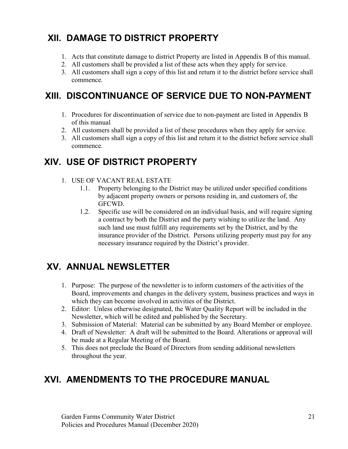## XII. DAMAGE TO DISTRICT PROPERTY

- 1. Acts that constitute damage to district Property are listed in Appendix B of this manual.
- 2. All customers shall be provided a list of these acts when they apply for service.
- 3. All customers shall sign a copy of this list and return it to the district before service shall commence.

## XIII. DISCONTINUANCE OF SERVICE DUE TO NON-PAYMENT

- 1. Procedures for discontinuation of service due to non-payment are listed in Appendix B of this manual
- 2. All customers shall be provided a list of these procedures when they apply for service.
- 3. All customers shall sign a copy of this list and return it to the district before service shall commence.

## XIV. USE OF DISTRICT PROPERTY

- 1. USE OF VACANT REAL ESTATE
	- 1.1. Property belonging to the District may be utilized under specified conditions by adjacent property owners or persons residing in, and customers of, the GFCWD.
	- 1.2. Specific use will be considered on an individual basis, and will require signing a contract by both the District and the party wishing to utilize the land. Any such land use must fulfill any requirements set by the District, and by the insurance provider of the District. Persons utilizing property must pay for any necessary insurance required by the District's provider.

## XV. ANNUAL NEWSLETTER

- 1. Purpose: The purpose of the newsletter is to inform customers of the activities of the Board, improvements and changes in the delivery system, business practices and ways in which they can become involved in activities of the District.
- 2. Editor: Unless otherwise designated, the Water Quality Report will be included in the Newsletter, which will be edited and published by the Secretary.
- 3. Submission of Material: Material can be submitted by any Board Member or employee.
- 4. Draft of Newsletter: A draft will be submitted to the Board. Alterations or approval will be made at a Regular Meeting of the Board.
- 5. This does not preclude the Board of Directors from sending additional newsletters throughout the year.

## XVI. AMENDMENTS TO THE PROCEDURE MANUAL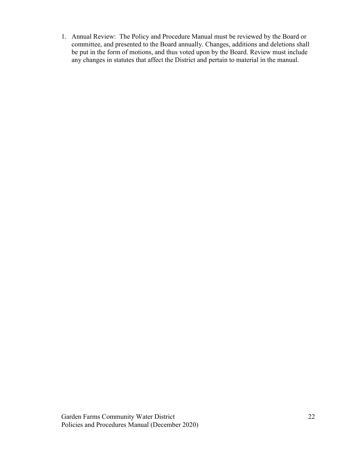1. Annual Review: The Policy and Procedure Manual must be reviewed by the Board or committee, and presented to the Board annually. Changes, additions and deletions shall be put in the form of motions, and thus voted upon by the Board. Review must include any changes in statutes that affect the District and pertain to material in the manual.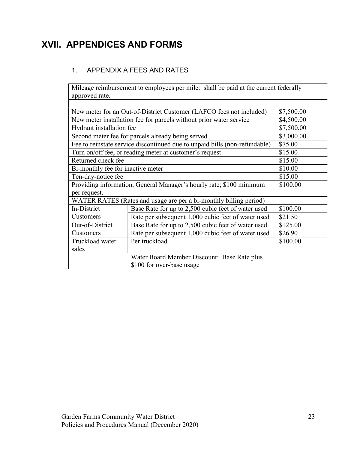## XVII. APPENDICES AND FORMS

## 1. APPENDIX A FEES AND RATES

Mileage reimbursement to employees per mile: shall be paid at the current federally approved rate.

| New meter for an Out-of-District Customer (LAFCO fees not included) | \$7,500.00                                                                 |            |
|---------------------------------------------------------------------|----------------------------------------------------------------------------|------------|
|                                                                     | New meter installation fee for parcels without prior water service         | \$4,500.00 |
| Hydrant installation fee                                            |                                                                            | \$7,500.00 |
|                                                                     | Second meter fee for parcels already being served                          | \$3,000.00 |
|                                                                     | Fee to reinstate service discontinued due to unpaid bills (non-refundable) | \$75.00    |
|                                                                     | Turn on/off fee, or reading meter at customer's request                    | \$15.00    |
| Returned check fee                                                  |                                                                            | \$15.00    |
| Bi-monthly fee for inactive meter                                   |                                                                            | \$10.00    |
| Ten-day-notice fee                                                  | \$15.00                                                                    |            |
| Providing information, General Manager's hourly rate; \$100 minimum | \$100.00                                                                   |            |
| per request.                                                        |                                                                            |            |
| WATER RATES (Rates and usage are per a bi-monthly billing period)   |                                                                            |            |
| In-District                                                         | Base Rate for up to 2,500 cubic feet of water used                         | \$100.00   |
| Customers                                                           | Rate per subsequent 1,000 cubic feet of water used                         | \$21.50    |
| Out-of-District                                                     | Base Rate for up to 2,500 cubic feet of water used                         | \$125.00   |
| Customers                                                           | Rate per subsequent 1,000 cubic feet of water used                         | \$26.90    |
| Truckload water                                                     | Per truckload                                                              | \$100.00   |
| sales                                                               |                                                                            |            |
|                                                                     | Water Board Member Discount: Base Rate plus                                |            |
|                                                                     | \$100 for over-base usage                                                  |            |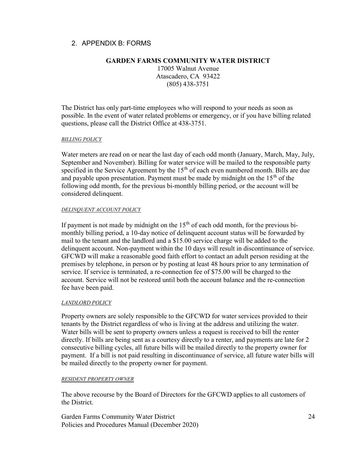## 2. APPENDIX B: FORMS

### GARDEN FARMS COMMUNITY WATER DISTRICT

17005 Walnut Avenue Atascadero, CA 93422 (805) 438-3751

The District has only part-time employees who will respond to your needs as soon as possible. In the event of water related problems or emergency, or if you have billing related questions, please call the District Office at 438-3751.

#### BILLING POLICY

Water meters are read on or near the last day of each odd month (January, March, May, July, September and November). Billing for water service will be mailed to the responsible party specified in the Service Agreement by the  $15<sup>th</sup>$  of each even numbered month. Bills are due and payable upon presentation. Payment must be made by midnight on the  $15<sup>th</sup>$  of the following odd month, for the previous bi-monthly billing period, or the account will be considered delinquent.

#### DELINQUENT ACCOUNT POLICY

If payment is not made by midnight on the  $15<sup>th</sup>$  of each odd month, for the previous bimonthly billing period, a 10-day notice of delinquent account status will be forwarded by mail to the tenant and the landlord and a \$15.00 service charge will be added to the delinquent account. Non-payment within the 10 days will result in discontinuance of service. GFCWD will make a reasonable good faith effort to contact an adult person residing at the premises by telephone, in person or by posting at least 48 hours prior to any termination of service. If service is terminated, a re-connection fee of \$75.00 will be charged to the account. Service will not be restored until both the account balance and the re-connection fee have been paid.

#### LANDLORD POLICY

Property owners are solely responsible to the GFCWD for water services provided to their tenants by the District regardless of who is living at the address and utilizing the water. Water bills will be sent to property owners unless a request is received to bill the renter directly. If bills are being sent as a courtesy directly to a renter, and payments are late for 2 consecutive billing cycles, all future bills will be mailed directly to the property owner for payment. If a bill is not paid resulting in discontinuance of service, all future water bills will be mailed directly to the property owner for payment.

#### RESIDENT PROPERTY OWNER

The above recourse by the Board of Directors for the GFCWD applies to all customers of the District.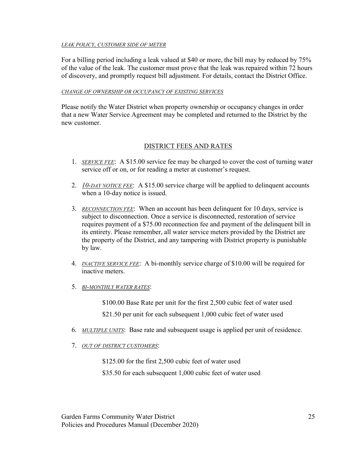#### LEAK POLICY, CUSTOMER SIDE OF METER

For a billing period including a leak valued at \$40 or more, the bill may by reduced by 75% of the value of the leak. The customer must prove that the leak was repaired within 72 hours of discovery, and promptly request bill adjustment. For details, contact the District Office.

#### CHANGE OF OWNERSHIP OR OCCUPANCY OF EXISTING SERVICES

Please notify the Water District when property ownership or occupancy changes in order that a new Water Service Agreement may be completed and returned to the District by the new customer.

### DISTRICT FEES AND RATES

- 1. SERVICE FEE: A \$15.00 service fee may be charged to cover the cost of turning water service off or on, or for reading a meter at customer's request.
- 2. 10-DAY NOTICE FEE: A \$15.00 service charge will be applied to delinguent accounts when a 10-day notice is issued.
- 3. RECONNECTION FEE: When an account has been delinquent for 10 days, service is subject to disconnection. Once a service is disconnected, restoration of service requires payment of a \$75.00 reconnection fee and payment of the delinquent bill in its entirety. Please remember, all water service meters provided by the District are the property of the District, and any tampering with District property is punishable by law.
- 4. INACTIVE SERVICE FEE: A bi-monthly service charge of \$10.00 will be required for inactive meters.
- 5. BI-MONTHLY WATER RATES:

\$100.00 Base Rate per unit for the first 2,500 cubic feet of water used

\$21.50 per unit for each subsequent 1,000 cubic feet of water used

- 6. MULTIPLE UNITS: Base rate and subsequent usage is applied per unit of residence.
- 7. OUT OF DISTRICT CUSTOMERS:

\$125.00 for the first 2,500 cubic feet of water used

\$35.50 for each subsequent 1,000 cubic feet of water used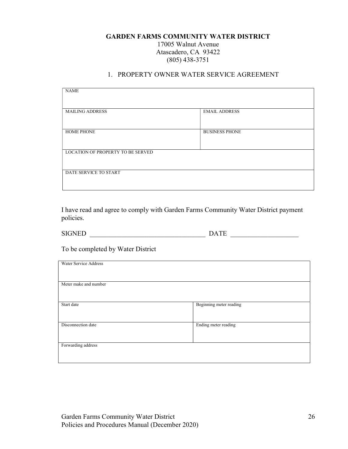### GARDEN FARMS COMMUNITY WATER DISTRICT 17005 Walnut Avenue Atascadero, CA 93422 (805) 438-3751

### 1. PROPERTY OWNER WATER SERVICE AGREEMENT

| <b>NAME</b>                       |                       |  |
|-----------------------------------|-----------------------|--|
|                                   |                       |  |
| <b>MAILING ADDRESS</b>            | <b>EMAIL ADDRESS</b>  |  |
|                                   |                       |  |
| <b>HOME PHONE</b>                 | <b>BUSINESS PHONE</b> |  |
|                                   |                       |  |
| LOCATION OF PROPERTY TO BE SERVED |                       |  |
|                                   |                       |  |
| DATE SERVICE TO START             |                       |  |
|                                   |                       |  |

I have read and agree to comply with Garden Farms Community Water District payment policies.

 $\begin{tabular}{c} SIGNED \end{tabular} \begin{tabular}{c} \begin{tabular}{c} \multicolumn{1}{c}{} \multicolumn{1}{c}{} \multicolumn{1}{c}{} \multicolumn{1}{c}{} \multicolumn{1}{c}{} \multicolumn{1}{c}{} \multicolumn{1}{c}{} \multicolumn{1}{c}{} \multicolumn{1}{c}{} \multicolumn{1}{c}{} \multicolumn{1}{c}{} \multicolumn{1}{c}{} \multicolumn{1}{c}{} \multicolumn{1}{c}{} \multicolumn{1}{c}{} \multicolumn{1}{c}{} \multicolumn{1}{c}{} \multicolumn{1}{c}{} \multicolumn{1}{$ 

To be completed by Water District

| Water Service Address |                         |
|-----------------------|-------------------------|
|                       |                         |
|                       |                         |
|                       |                         |
|                       |                         |
|                       |                         |
| Meter make and number |                         |
|                       |                         |
|                       |                         |
|                       |                         |
|                       |                         |
| Start date            | Beginning meter reading |
|                       |                         |
|                       |                         |
|                       |                         |
|                       |                         |
|                       |                         |
| Disconnection date    | Ending meter reading    |
|                       |                         |
|                       |                         |
|                       |                         |
|                       |                         |
| Forwarding address    |                         |
|                       |                         |
|                       |                         |
|                       |                         |
|                       |                         |
|                       |                         |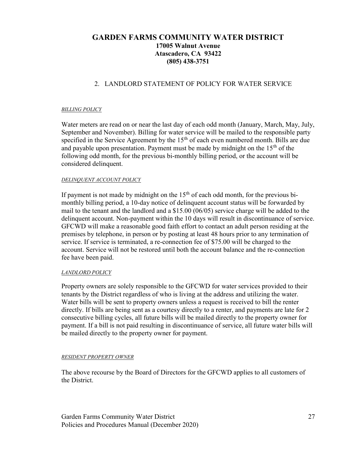## GARDEN FARMS COMMUNITY WATER DISTRICT 17005 Walnut Avenue Atascadero, CA 93422 (805) 438-3751

## 2. LANDLORD STATEMENT OF POLICY FOR WATER SERVICE

#### BILLING POLICY

Water meters are read on or near the last day of each odd month (January, March, May, July, September and November). Billing for water service will be mailed to the responsible party specified in the Service Agreement by the  $15<sup>th</sup>$  of each even numbered month. Bills are due and payable upon presentation. Payment must be made by midnight on the  $15<sup>th</sup>$  of the following odd month, for the previous bi-monthly billing period, or the account will be considered delinquent.

#### DELINQUENT ACCOUNT POLICY

If payment is not made by midnight on the  $15<sup>th</sup>$  of each odd month, for the previous bimonthly billing period, a 10-day notice of delinquent account status will be forwarded by mail to the tenant and the landlord and a \$15.00 (06/05) service charge will be added to the delinquent account. Non-payment within the 10 days will result in discontinuance of service. GFCWD will make a reasonable good faith effort to contact an adult person residing at the premises by telephone, in person or by posting at least 48 hours prior to any termination of service. If service is terminated, a re-connection fee of \$75.00 will be charged to the account. Service will not be restored until both the account balance and the re-connection fee have been paid.

#### LANDLORD POLICY

Property owners are solely responsible to the GFCWD for water services provided to their tenants by the District regardless of who is living at the address and utilizing the water. Water bills will be sent to property owners unless a request is received to bill the renter directly. If bills are being sent as a courtesy directly to a renter, and payments are late for 2 consecutive billing cycles, all future bills will be mailed directly to the property owner for payment. If a bill is not paid resulting in discontinuance of service, all future water bills will be mailed directly to the property owner for payment.

#### RESIDENT PROPERTY OWNER

The above recourse by the Board of Directors for the GFCWD applies to all customers of the District.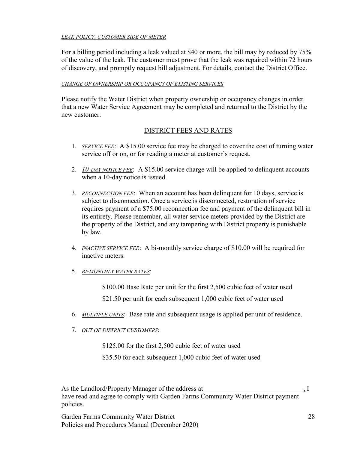#### LEAK POLICY, CUSTOMER SIDE OF METER

For a billing period including a leak valued at \$40 or more, the bill may by reduced by 75% of the value of the leak. The customer must prove that the leak was repaired within 72 hours of discovery, and promptly request bill adjustment. For details, contact the District Office.

#### CHANGE OF OWNERSHIP OR OCCUPANCY OF EXISTING SERVICES

Please notify the Water District when property ownership or occupancy changes in order that a new Water Service Agreement may be completed and returned to the District by the new customer.

### DISTRICT FEES AND RATES

- 1. SERVICE FEE: A \$15.00 service fee may be charged to cover the cost of turning water service off or on, or for reading a meter at customer's request.
- 2.  $10$ -DAY NOTICE FEE: A \$15.00 service charge will be applied to delinquent accounts when a 10-day notice is issued.
- 3. RECONNECTION FEE: When an account has been delinquent for 10 days, service is subject to disconnection. Once a service is disconnected, restoration of service requires payment of a \$75.00 reconnection fee and payment of the delinquent bill in its entirety. Please remember, all water service meters provided by the District are the property of the District, and any tampering with District property is punishable by law.
- 4. *INACTIVE SERVICE FEE*: A bi-monthly service charge of \$10.00 will be required for inactive meters.
- 5. BI-MONTHLY WATER RATES:

\$100.00 Base Rate per unit for the first 2,500 cubic feet of water used

\$21.50 per unit for each subsequent 1,000 cubic feet of water used

- 6. MULTIPLE UNITS: Base rate and subsequent usage is applied per unit of residence.
- 7. OUT OF DISTRICT CUSTOMERS:

\$125.00 for the first 2,500 cubic feet of water used

\$35.50 for each subsequent 1,000 cubic feet of water used

As the Landlord/Property Manager of the address at  $\qquad \qquad$ , I have read and agree to comply with Garden Farms Community Water District payment policies.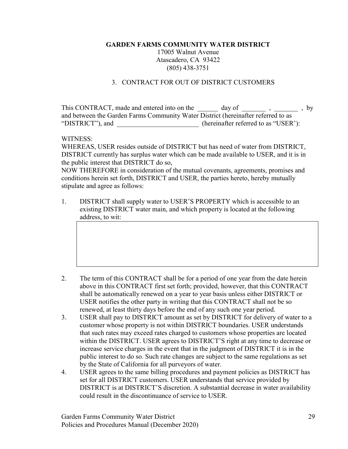17005 Walnut Avenue Atascadero, CA 93422 (805) 438-3751

### 3. CONTRACT FOR OUT OF DISTRICT CUSTOMERS

This CONTRACT, made and entered into on the day of figures and entered into on the day of the set of  $\sim$ , by and between the Garden Farms Community Water District (hereinafter referred to as "DISTRICT"), and \_\_\_\_\_\_\_\_\_\_\_\_\_\_\_\_\_\_\_\_\_\_\_\_ (hereinafter referred to as "USER'):

#### WITNESS:

WHEREAS, USER resides outside of DISTRICT but has need of water from DISTRICT, DISTRICT currently has surplus water which can be made available to USER, and it is in the public interest that DISTRICT do so,

NOW THEREFORE in consideration of the mutual covenants, agreements, promises and conditions herein set forth, DISTRICT and USER, the parties hereto, hereby mutually stipulate and agree as follows:

1. DISTRICT shall supply water to USER'S PROPERTY which is accessible to an existing DISTRICT water main, and which property is located at the following address, to wit:

- 2. The term of this CONTRACT shall be for a period of one year from the date herein above in this CONTRACT first set forth; provided, however, that this CONTRACT shall be automatically renewed on a year to year basis unless either DISTRICT or USER notifies the other party in writing that this CONTRACT shall not be so renewed, at least thirty days before the end of any such one year period.
- 3. USER shall pay to DISTRICT amount as set by DISTRICT for delivery of water to a customer whose property is not within DISTRICT boundaries. USER understands that such rates may exceed rates charged to customers whose properties are located within the DISTRICT. USER agrees to DISTRICT'S right at any time to decrease or increase service charges in the event that in the judgment of DISTRICT it is in the public interest to do so. Such rate changes are subject to the same regulations as set by the State of California for all purveyors of water.
- 4. USER agrees to the same billing procedures and payment policies as DISTRICT has set for all DISTRICT customers. USER understands that service provided by DISTRICT is at DISTRICT'S discretion. A substantial decrease in water availability could result in the discontinuance of service to USER.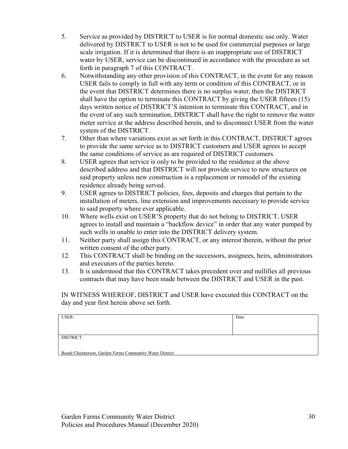- 5. Service as provided by DISTRICT to USER is for normal domestic use only. Water delivered by DISTRICT to USER is not to be used for commercial purposes or large scale irrigation. If it is determined that there is an inappropriate use of DISTRICT water by USER, service can be discontinued in accordance with the procedure as set forth in paragraph 7 of this CONTRACT.
- 6. Notwithstanding any other provision of this CONTRACT, in the event for any reason USER fails to comply in full with any term or condition of this CONTRACT, or in the event that DISTRICT determines there is no surplus water, then the DISTRICT shall have the option to terminate this CONTRACT by giving the USER fifteen (15) days written notice of DISTRICT'S intention to terminate this CONTRACT, and in the event of any such termination, DISTRICT shall have the right to remove the water meter service at the address described herein, and to disconnect USER from the water system of the DISTRICT.
- 7. Other than where variations exist as set forth in this CONTRACT, DISTRICT agrees to provide the same service as to DISTRICT customers and USER agrees to accept the same conditions of service as are required of DISTRICT customers.
- 8. USER agrees that service is only to be provided to the residence at the above described address and that DISTRICT will not provide service to new structures on said property unless new construction is a replacement or remodel of the existing residence already being served.
- 9. USER agrees to DISTRICT policies, fees, deposits and charges that pertain to the installation of meters, line extension and improvements necessary to provide service to said property where ever applicable.
- 10. Where wells exist on USER'S property that do not belong to DISTRICT, USER agrees to install and maintain a "backflow device" in order that any water pumped by such wells in unable to enter into the DISTRICT delivery system.
- 11. Neither party shall assign this CONTRACT, or any interest therein, without the prior written consent of the other party.
- 12. This CONTRACT shall be binding on the successors, assignees, heirs, administrators and executors of the parties hereto.
- 13. It is understood that this CONTRACT takes precedent over and nullifies all previous contracts that may have been made between the DISTRICT and USER in the past.

IN WITNESS WHEREOF, DISTRICT and USER have executed this CONTRACT on the day and year first herein above set forth.

| USER:                                                    | Date |
|----------------------------------------------------------|------|
|                                                          |      |
|                                                          |      |
| DISTRICT:                                                |      |
|                                                          |      |
| Board Chairperson, Garden Farms Community Water District |      |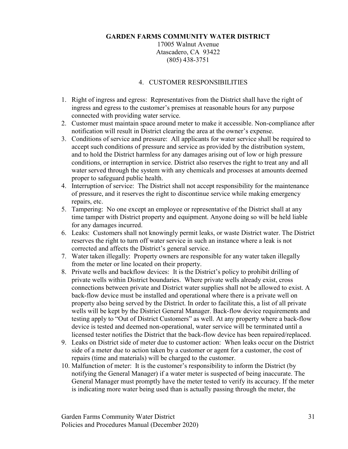17005 Walnut Avenue Atascadero, CA 93422 (805) 438-3751

#### 4. CUSTOMER RESPONSIBILITIES

- 1. Right of ingress and egress: Representatives from the District shall have the right of ingress and egress to the customer's premises at reasonable hours for any purpose connected with providing water service.
- 2. Customer must maintain space around meter to make it accessible. Non-compliance after notification will result in District clearing the area at the owner's expense.
- 3. Conditions of service and pressure: All applicants for water service shall be required to accept such conditions of pressure and service as provided by the distribution system, and to hold the District harmless for any damages arising out of low or high pressure conditions, or interruption in service. District also reserves the right to treat any and all water served through the system with any chemicals and processes at amounts deemed proper to safeguard public health.
- 4. Interruption of service: The District shall not accept responsibility for the maintenance of pressure, and it reserves the right to discontinue service while making emergency repairs, etc.
- 5. Tampering: No one except an employee or representative of the District shall at any time tamper with District property and equipment. Anyone doing so will be held liable for any damages incurred.
- 6. Leaks: Customers shall not knowingly permit leaks, or waste District water. The District reserves the right to turn off water service in such an instance where a leak is not corrected and affects the District's general service.
- 7. Water taken illegally: Property owners are responsible for any water taken illegally from the meter or line located on their property.
- 8. Private wells and backflow devices: It is the District's policy to prohibit drilling of private wells within District boundaries. Where private wells already exist, cross connections between private and District water supplies shall not be allowed to exist. A back-flow device must be installed and operational where there is a private well on property also being served by the District. In order to facilitate this, a list of all private wells will be kept by the District General Manager. Back-flow device requirements and testing apply to "Out of District Customers" as well. At any property where a back-flow device is tested and deemed non-operational, water service will be terminated until a licensed tester notifies the District that the back-flow device has been repaired/replaced.
- 9. Leaks on District side of meter due to customer action: When leaks occur on the District side of a meter due to action taken by a customer or agent for a customer, the cost of repairs (time and materials) will be charged to the customer.
- 10. Malfunction of meter: It is the customer's responsibility to inform the District (by notifying the General Manager) if a water meter is suspected of being inaccurate. The General Manager must promptly have the meter tested to verify its accuracy. If the meter is indicating more water being used than is actually passing through the meter, the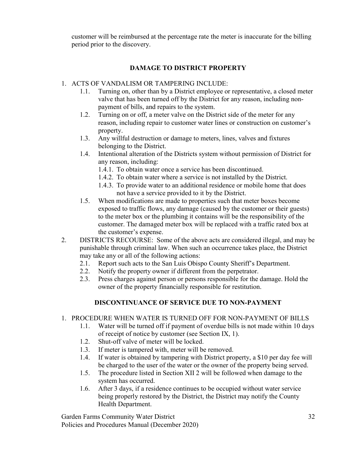customer will be reimbursed at the percentage rate the meter is inaccurate for the billing period prior to the discovery.

## DAMAGE TO DISTRICT PROPERTY

- 1. ACTS OF VANDALISM OR TAMPERING INCLUDE:
	- 1.1. Turning on, other than by a District employee or representative, a closed meter valve that has been turned off by the District for any reason, including nonpayment of bills, and repairs to the system.
	- 1.2. Turning on or off, a meter valve on the District side of the meter for any reason, including repair to customer water lines or construction on customer's property.
	- 1.3. Any willful destruction or damage to meters, lines, valves and fixtures belonging to the District.
	- 1.4. Intentional alteration of the Districts system without permission of District for any reason, including:
		- 1.4.1. To obtain water once a service has been discontinued.
		- 1.4.2. To obtain water where a service is not installed by the District.
		- 1.4.3. To provide water to an additional residence or mobile home that does not have a service provided to it by the District.
	- 1.5. When modifications are made to properties such that meter boxes become exposed to traffic flows, any damage (caused by the customer or their guests) to the meter box or the plumbing it contains will be the responsibility of the customer. The damaged meter box will be replaced with a traffic rated box at the customer's expense.
- 2. DISTRICTS RECOURSE: Some of the above acts are considered illegal, and may be punishable through criminal law. When such an occurrence takes place, the District may take any or all of the following actions:
	- 2.1. Report such acts to the San Luis Obispo County Sheriff's Department.
	- 2.2. Notify the property owner if different from the perpetrator.
	- 2.3. Press charges against person or persons responsible for the damage. Hold the owner of the property financially responsible for restitution.

## DISCONTINUANCE OF SERVICE DUE TO NON-PAYMENT

## 1. PROCEDURE WHEN WATER IS TURNED OFF FOR NON-PAYMENT OF BILLS

- 1.1. Water will be turned off if payment of overdue bills is not made within 10 days of receipt of notice by customer (see Section IX, 1).
- 1.2. Shut-off valve of meter will be locked.
- 1.3. If meter is tampered with, meter will be removed.
- 1.4. If water is obtained by tampering with District property, a \$10 per day fee will be charged to the user of the water or the owner of the property being served.
- 1.5. The procedure listed in Section XII 2 will be followed when damage to the system has occurred.
- 1.6. After 3 days, if a residence continues to be occupied without water service being properly restored by the District, the District may notify the County Health Department.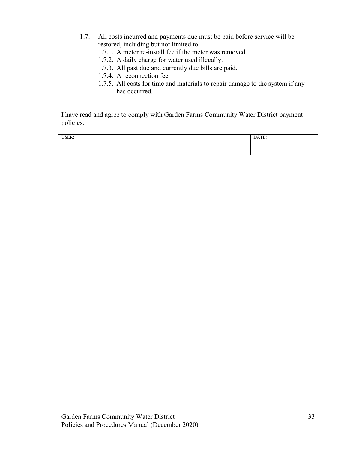- 1.7. All costs incurred and payments due must be paid before service will be restored, including but not limited to:
	- 1.7.1. A meter re-install fee if the meter was removed.
	- 1.7.2. A daily charge for water used illegally.
	- 1.7.3. All past due and currently due bills are paid.
	- 1.7.4. A reconnection fee.
	- 1.7.5. All costs for time and materials to repair damage to the system if any has occurred.

I have read and agree to comply with Garden Farms Community Water District payment policies.

USER: DATE: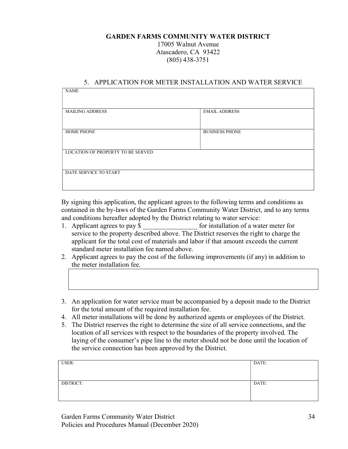17005 Walnut Avenue Atascadero, CA 93422 (805) 438-3751

#### 5. APPLICATION FOR METER INSTALLATION AND WATER SERVICE

| <b>NAME</b>                       |                       |  |
|-----------------------------------|-----------------------|--|
|                                   |                       |  |
|                                   |                       |  |
| <b>MAILING ADDRESS</b>            | <b>EMAIL ADDRESS</b>  |  |
|                                   |                       |  |
|                                   |                       |  |
| <b>HOME PHONE</b>                 | <b>BUSINESS PHONE</b> |  |
|                                   |                       |  |
|                                   |                       |  |
| LOCATION OF PROPERTY TO BE SERVED |                       |  |
|                                   |                       |  |
|                                   |                       |  |
| DATE SERVICE TO START             |                       |  |
|                                   |                       |  |
|                                   |                       |  |

By signing this application, the applicant agrees to the following terms and conditions as contained in the by-laws of the Garden Farms Community Water District, and to any terms and conditions hereafter adopted by the District relating to water service:

- 1. Applicant agrees to pay \$ for installation of a water meter for service to the property described above. The District reserves the right to charge the applicant for the total cost of materials and labor if that amount exceeds the current standard meter installation fee named above.
- 2. Applicant agrees to pay the cost of the following improvements (if any) in addition to the meter installation fee.
- 3. An application for water service must be accompanied by a deposit made to the District for the total amount of the required installation fee.
- 4. All meter installations will be done by authorized agents or employees of the District.
- 5. The District reserves the right to determine the size of all service connections, and the location of all services with respect to the boundaries of the property involved. The laying of the consumer's pipe line to the meter should not be done until the location of the service connection has been approved by the District.

| USER:     | DATE: |
|-----------|-------|
|           |       |
|           |       |
| DISTRICT: | DATE: |
|           |       |
|           |       |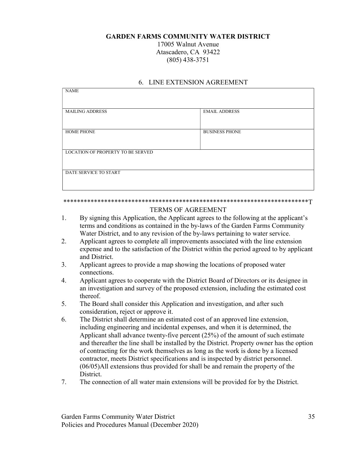17005 Walnut Avenue Atascadero, CA 93422 (805) 438-3751

| <b>NAME</b>                              |                       |  |
|------------------------------------------|-----------------------|--|
|                                          |                       |  |
| <b>MAILING ADDRESS</b>                   | <b>EMAIL ADDRESS</b>  |  |
|                                          |                       |  |
|                                          |                       |  |
| <b>HOME PHONE</b>                        | <b>BUSINESS PHONE</b> |  |
|                                          |                       |  |
|                                          |                       |  |
| <b>LOCATION OF PROPERTY TO BE SERVED</b> |                       |  |
|                                          |                       |  |
|                                          |                       |  |
| DATE SERVICE TO START                    |                       |  |
|                                          |                       |  |
|                                          |                       |  |

#### 6. LINE EXTENSION AGREEMENT

#### \*\*\*\*\*\*\*\*\*\*\*\*\*\*\*\*\*\*\*\*\*\*\*\*\*\*\*\*\*\*\*\*\*\*\*\*\*\*\*\*\*\*\*\*\*\*\*\*\*\*\*\*\*\*\*\*\*\*\*\*\*\*\*\*\*\*\*\*\*\*\*\*T TERMS OF AGREEMENT

- 1. By signing this Application, the Applicant agrees to the following at the applicant's terms and conditions as contained in the by-laws of the Garden Farms Community Water District, and to any revision of the by-laws pertaining to water service.
- 2. Applicant agrees to complete all improvements associated with the line extension expense and to the satisfaction of the District within the period agreed to by applicant and District.
- 3. Applicant agrees to provide a map showing the locations of proposed water connections.
- 4. Applicant agrees to cooperate with the District Board of Directors or its designee in an investigation and survey of the proposed extension, including the estimated cost thereof.
- 5. The Board shall consider this Application and investigation, and after such consideration, reject or approve it.
- 6. The District shall determine an estimated cost of an approved line extension, including engineering and incidental expenses, and when it is determined, the Applicant shall advance twenty-five percent (25%) of the amount of such estimate and thereafter the line shall be installed by the District. Property owner has the option of contracting for the work themselves as long as the work is done by a licensed contractor, meets District specifications and is inspected by district personnel. (06/05)All extensions thus provided for shall be and remain the property of the District.
- 7. The connection of all water main extensions will be provided for by the District.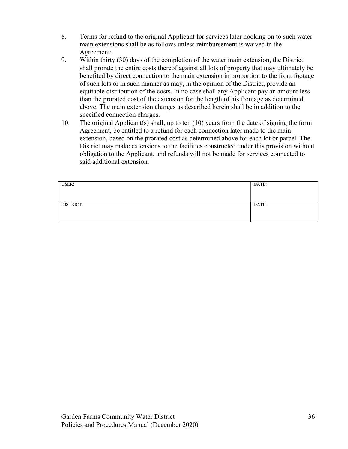- 8. Terms for refund to the original Applicant for services later hooking on to such water main extensions shall be as follows unless reimbursement is waived in the Agreement:
- 9. Within thirty (30) days of the completion of the water main extension, the District shall prorate the entire costs thereof against all lots of property that may ultimately be benefited by direct connection to the main extension in proportion to the front footage of such lots or in such manner as may, in the opinion of the District, provide an equitable distribution of the costs. In no case shall any Applicant pay an amount less than the prorated cost of the extension for the length of his frontage as determined above. The main extension charges as described herein shall be in addition to the specified connection charges.
- 10. The original Applicant(s) shall, up to ten (10) years from the date of signing the form Agreement, be entitled to a refund for each connection later made to the main extension, based on the prorated cost as determined above for each lot or parcel. The District may make extensions to the facilities constructed under this provision without obligation to the Applicant, and refunds will not be made for services connected to said additional extension.

| USER:     | DATE: |
|-----------|-------|
|           |       |
|           |       |
| DISTRICT: | DATE: |
|           |       |
|           |       |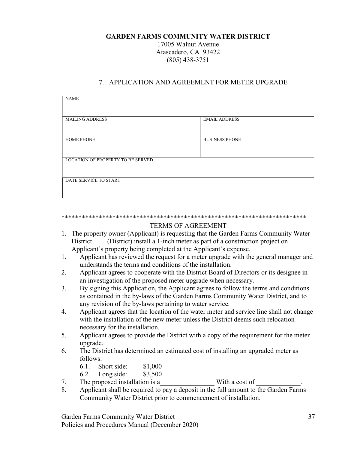17005 Walnut Avenue Atascadero, CA 93422 (805) 438-3751

#### 7. APPLICATION AND AGREEMENT FOR METER UPGRADE

| <b>NAME</b>                              |                       |  |
|------------------------------------------|-----------------------|--|
| <b>MAILING ADDRESS</b>                   | <b>EMAIL ADDRESS</b>  |  |
| <b>HOME PHONE</b>                        | <b>BUSINESS PHONE</b> |  |
| <b>LOCATION OF PROPERTY TO BE SERVED</b> |                       |  |
| DATE SERVICE TO START                    |                       |  |

#### \*\*\*\*\*\*\*\*\*\*\*\*\*\*\*\*\*\*\*\*\*\*\*\*\*\*\*\*\*\*\*\*\*\*\*\*\*\*\*\*\*\*\*\*\*\*\*\*\*\*\*\*\*\*\*\*\*\*\*\*\*\*\*\*\*\*\*\*\*\*\*\*

#### TERMS OF AGREEMENT

- 1. The property owner (Applicant) is requesting that the Garden Farms Community Water District (District) install a 1-inch meter as part of a construction project on Applicant's property being completed at the Applicant's expense.
- 1. Applicant has reviewed the request for a meter upgrade with the general manager and understands the terms and conditions of the installation.
- 2. Applicant agrees to cooperate with the District Board of Directors or its designee in an investigation of the proposed meter upgrade when necessary.
- 3. By signing this Application, the Applicant agrees to follow the terms and conditions as contained in the by-laws of the Garden Farms Community Water District, and to any revision of the by-laws pertaining to water service.
- 4. Applicant agrees that the location of the water meter and service line shall not change with the installation of the new meter unless the District deems such relocation necessary for the installation.
- 5. Applicant agrees to provide the District with a copy of the requirement for the meter upgrade.
- 6. The District has determined an estimated cost of installing an upgraded meter as follows:

| 6.1. | Short side: | \$1,000 |
|------|-------------|---------|
|------|-------------|---------|

- 6.2. Long side: \$3,500
- 7. The proposed installation is a with a cost of
- 8. Applicant shall be required to pay a deposit in the full amount to the Garden Farms Community Water District prior to commencement of installation.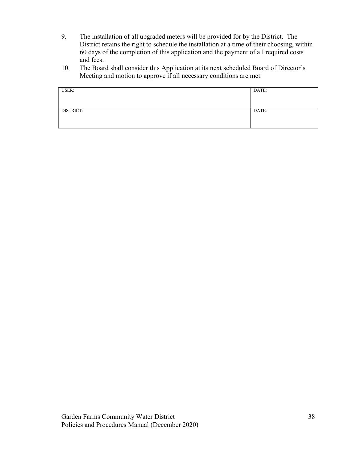- 9. The installation of all upgraded meters will be provided for by the District. The District retains the right to schedule the installation at a time of their choosing, within 60 days of the completion of this application and the payment of all required costs and fees.
- 10. The Board shall consider this Application at its next scheduled Board of Director's Meeting and motion to approve if all necessary conditions are met.

| USER:     | DATE: |
|-----------|-------|
|           |       |
|           |       |
|           |       |
|           |       |
|           |       |
|           |       |
| DISTRICT: | DATE: |
|           |       |
|           |       |
|           |       |
|           |       |
|           |       |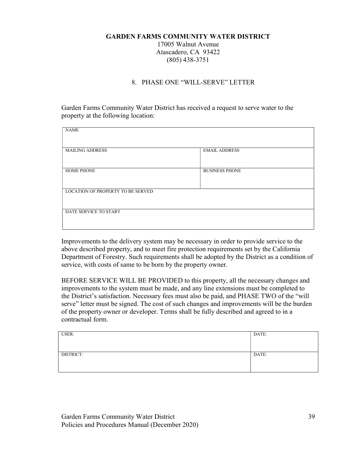17005 Walnut Avenue Atascadero, CA 93422 (805) 438-3751

#### 8. PHASE ONE "WILL-SERVE" LETTER

Garden Farms Community Water District has received a request to serve water to the property at the following location:

| <b>NAME</b>                       |                       |  |
|-----------------------------------|-----------------------|--|
| <b>MAILING ADDRESS</b>            | <b>EMAIL ADDRESS</b>  |  |
| <b>HOME PHONE</b>                 | <b>BUSINESS PHONE</b> |  |
| LOCATION OF PROPERTY TO BE SERVED |                       |  |
| DATE SERVICE TO START             |                       |  |

Improvements to the delivery system may be necessary in order to provide service to the above described property, and to meet fire protection requirements set by the California Department of Forestry. Such requirements shall be adopted by the District as a condition of service, with costs of same to be born by the property owner.

BEFORE SERVICE WILL BE PROVIDED to this property, all the necessary changes and improvements to the system must be made, and any line extensions must be completed to the District's satisfaction. Necessary fees must also be paid, and PHASE TWO of the "will serve" letter must be signed. The cost of such changes and improvements will be the burden of the property owner or developer. Terms shall be fully described and agreed to in a contractual form.

| USER:     | DATE: |
|-----------|-------|
|           |       |
|           |       |
| DISTRICT: | DATE: |
|           |       |
|           |       |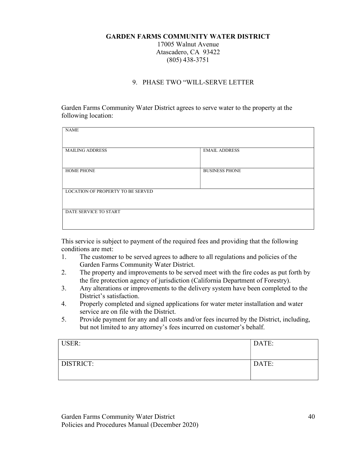17005 Walnut Avenue Atascadero, CA 93422 (805) 438-3751

#### 9. PHASE TWO "WILL-SERVE LETTER

Garden Farms Community Water District agrees to serve water to the property at the following location:

| <b>NAME</b>                              |                       |
|------------------------------------------|-----------------------|
| <b>MAILING ADDRESS</b>                   | <b>EMAIL ADDRESS</b>  |
| <b>HOME PHONE</b>                        | <b>BUSINESS PHONE</b> |
| <b>LOCATION OF PROPERTY TO BE SERVED</b> |                       |
| DATE SERVICE TO START                    |                       |

This service is subject to payment of the required fees and providing that the following conditions are met:

- 1. The customer to be served agrees to adhere to all regulations and policies of the Garden Farms Community Water District.
- 2. The property and improvements to be served meet with the fire codes as put forth by the fire protection agency of jurisdiction (California Department of Forestry).
- 3. Any alterations or improvements to the delivery system have been completed to the District's satisfaction.
- 4. Properly completed and signed applications for water meter installation and water service are on file with the District.
- 5. Provide payment for any and all costs and/or fees incurred by the District, including, but not limited to any attorney's fees incurred on customer's behalf.

| USER:            | DATE: |
|------------------|-------|
| <b>DISTRICT:</b> | DATE: |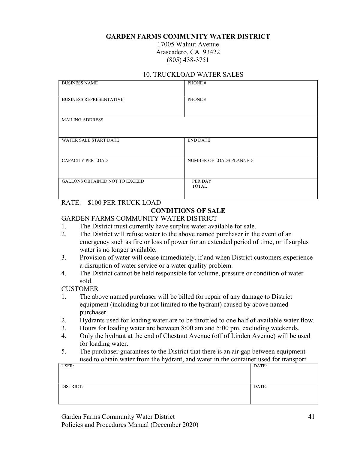17005 Walnut Avenue Atascadero, CA 93422 (805) 438-3751

#### 10. TRUCKLOAD WATER SALES

| <b>BUSINESS NAME</b>                  | PHONE#                  |
|---------------------------------------|-------------------------|
| <b>BUSINESS REPRESENTATIVE</b>        | PHONE#                  |
| <b>MAILING ADDRESS</b>                |                         |
| <b>WATER SALE START DATE</b>          | <b>END DATE</b>         |
| <b>CAPACITY PER LOAD</b>              | NUMBER OF LOADS PLANNED |
| <b>GALLONS OBTAINED NOT TO EXCEED</b> | PER DAY<br><b>TOTAL</b> |

### RATE: \$100 PER TRUCK LOAD

#### CONDITIONS OF SALE

#### GARDEN FARMS COMMUNITY WATER DISTRICT

- 1. The District must currently have surplus water available for sale.
- 2. The District will refuse water to the above named purchaser in the event of an emergency such as fire or loss of power for an extended period of time, or if surplus water is no longer available.
- 3. Provision of water will cease immediately, if and when District customers experience a disruption of water service or a water quality problem.
- 4. The District cannot be held responsible for volume, pressure or condition of water sold.

#### CUSTOMER

- 1. The above named purchaser will be billed for repair of any damage to District equipment (including but not limited to the hydrant) caused by above named purchaser.
- 2. Hydrants used for loading water are to be throttled to one half of available water flow.
- 3. Hours for loading water are between 8:00 am and 5:00 pm, excluding weekends.
- 4. Only the hydrant at the end of Chestnut Avenue (off of Linden Avenue) will be used for loading water.
- 5. The purchaser guarantees to the District that there is an air gap between equipment used to obtain water from the hydrant, and water in the container used for transport.

| USER:     | DATE: |
|-----------|-------|
|           |       |
|           |       |
|           |       |
| DISTRICT: | DATE: |
|           |       |
|           |       |
|           |       |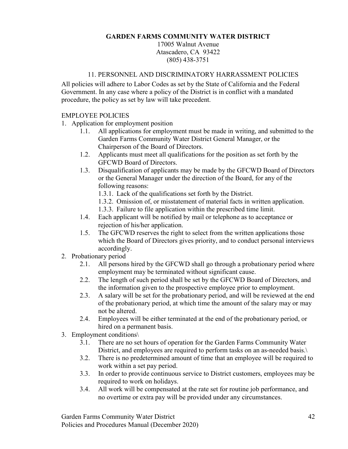17005 Walnut Avenue Atascadero, CA 93422 (805) 438-3751

### 11. PERSONNEL AND DISCRIMINATORY HARRASSMENT POLICIES

All policies will adhere to Labor Codes as set by the State of California and the Federal Government. In any case where a policy of the District is in conflict with a mandated procedure, the policy as set by law will take precedent.

#### EMPLOYEE POLICIES

- 1. Application for employment position
	- 1.1. All applications for employment must be made in writing, and submitted to the Garden Farms Community Water District General Manager, or the Chairperson of the Board of Directors.
	- 1.2. Applicants must meet all qualifications for the position as set forth by the GFCWD Board of Directors.
	- 1.3. Disqualification of applicants may be made by the GFCWD Board of Directors or the General Manager under the direction of the Board, for any of the following reasons:
		- 1.3.1. Lack of the qualifications set forth by the District.
		- 1.3.2. Omission of, or misstatement of material facts in written application.
		- 1.3.3. Failure to file application within the prescribed time limit.
	- 1.4. Each applicant will be notified by mail or telephone as to acceptance or rejection of his/her application.
	- 1.5. The GFCWD reserves the right to select from the written applications those which the Board of Directors gives priority, and to conduct personal interviews accordingly.
- 2. Probationary period
	- 2.1. All persons hired by the GFCWD shall go through a probationary period where employment may be terminated without significant cause.
	- 2.2. The length of such period shall be set by the GFCWD Board of Directors, and the information given to the prospective employee prior to employment.
	- 2.3. A salary will be set for the probationary period, and will be reviewed at the end of the probationary period, at which time the amount of the salary may or may not be altered.
	- 2.4. Employees will be either terminated at the end of the probationary period, or hired on a permanent basis.
- 3. Employment conditions\
	- 3.1. There are no set hours of operation for the Garden Farms Community Water District, and employees are required to perform tasks on an as-needed basis.
	- 3.2. There is no predetermined amount of time that an employee will be required to work within a set pay period.
	- 3.3. In order to provide continuous service to District customers, employees may be required to work on holidays.
	- 3.4. All work will be compensated at the rate set for routine job performance, and no overtime or extra pay will be provided under any circumstances.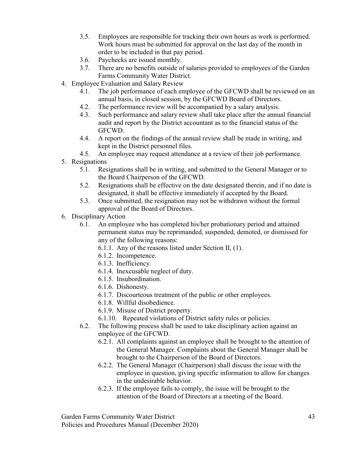- 3.5. Employees are responsible for tracking their own hours as work is performed. Work hours must be submitted for approval on the last day of the month in order to be included in that pay period.
- 3.6. Paychecks are issued monthly.
- 3.7. There are no benefits outside of salaries provided to employees of the Garden Farms Community Water District.
- 4. Employee Evaluation and Salary Review
	- 4.1. The job performance of each employee of the GFCWD shall be reviewed on an annual basis, in closed session, by the GFCWD Board of Directors.
	- 4.2. The performance review will be accompanied by a salary analysis.
	- 4.3. Such performance and salary review shall take place after the annual financial audit and report by the District accountant as to the financial status of the GFCWD.
	- 4.4. A report on the findings of the annual review shall be made in writing, and kept in the District personnel files.
	- 4.5. An employee may request attendance at a review of their job performance.
- 5. Resignations
	- 5.1. Resignations shall be in writing, and submitted to the General Manager or to the Board Chairperson of the GFCWD.
	- 5.2. Resignations shall be effective on the date designated therein, and if no date is designated, it shall be effective immediately if accepted by the Board.
	- 5.3. Once submitted, the resignation may not be withdrawn without the formal approval of the Board of Directors.
- 6. Disciplinary Action
	- 6.1. An employee who has completed his/her probationary period and attained permanent status may be reprimanded, suspended, demoted, or dismissed for any of the following reasons:
		- 6.1.1. Any of the reasons listed under Section II, (1).
		- 6.1.2. Incompetence.
		- 6.1.3. Inefficiency.
		- 6.1.4. Inexcusable neglect of duty.
		- 6.1.5. Insubordination.
		- 6.1.6. Dishonesty.
		- 6.1.7. Discourteous treatment of the public or other employees.
		- 6.1.8. Willful disobedience.
		- 6.1.9. Misuse of District property.
		- 6.1.10. Repeated violations of District safety rules or policies.
	- 6.2. The following process shall be used to take disciplinary action against an employee of the GFCWD.
		- 6.2.1. All complaints against an employee shall be brought to the attention of the General Manager. Complaints about the General Manager shall be brought to the Chairperson of the Board of Directors.
		- 6.2.2. The General Manager (Chairperson) shall discuss the issue with the employee in question, giving specific information to allow for changes in the undesirable behavior.
		- 6.2.3. If the employee fails to comply, the issue will be brought to the attention of the Board of Directors at a meeting of the Board.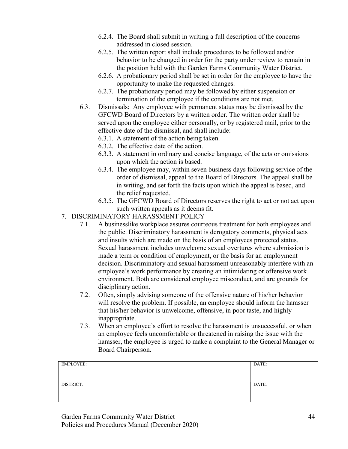- 6.2.4. The Board shall submit in writing a full description of the concerns addressed in closed session.
- 6.2.5. The written report shall include procedures to be followed and/or behavior to be changed in order for the party under review to remain in the position held with the Garden Farms Community Water District.
- 6.2.6. A probationary period shall be set in order for the employee to have the opportunity to make the requested changes.
- 6.2.7. The probationary period may be followed by either suspension or termination of the employee if the conditions are not met.
- 6.3. Dismissals: Any employee with permanent status may be dismissed by the GFCWD Board of Directors by a written order. The written order shall be served upon the employee either personally, or by registered mail, prior to the effective date of the dismissal, and shall include:
	- 6.3.1. A statement of the action being taken.
	- 6.3.2. The effective date of the action.
	- 6.3.3. A statement in ordinary and concise language, of the acts or omissions upon which the action is based.
	- 6.3.4. The employee may, within seven business days following service of the order of dismissal, appeal to the Board of Directors. The appeal shall be in writing, and set forth the facts upon which the appeal is based, and the relief requested.
	- 6.3.5. The GFCWD Board of Directors reserves the right to act or not act upon such written appeals as it deems fit.
- 7. DISCRIMINATORY HARASSMENT POLICY
	- 7.1. A businesslike workplace assures courteous treatment for both employees and the public. Discriminatory harassment is derogatory comments, physical acts and insults which are made on the basis of an employees protected status. Sexual harassment includes unwelcome sexual overtures where submission is made a term or condition of employment, or the basis for an employment decision. Discriminatory and sexual harassment unreasonably interfere with an employee's work performance by creating an intimidating or offensive work environment. Both are considered employee misconduct, and are grounds for disciplinary action.
	- 7.2. Often, simply advising someone of the offensive nature of his/her behavior will resolve the problem. If possible, an employee should inform the harasser that his/her behavior is unwelcome, offensive, in poor taste, and highly inappropriate.
	- 7.3. When an employee's effort to resolve the harassment is unsuccessful, or when an employee feels uncomfortable or threatened in raising the issue with the harasser, the employee is urged to make a complaint to the General Manager or Board Chairperson.

| <b>EMPLOYEE:</b> | DATE: |
|------------------|-------|
|                  |       |
|                  |       |
| DISTRICT:        | DATE: |
|                  |       |
|                  |       |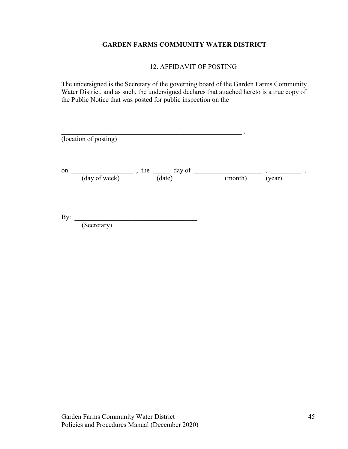12. AFFIDAVIT OF POSTING

The undersigned is the Secretary of the governing board of the Garden Farms Community Water District, and as such, the undersigned declares that attached hereto is a true copy of the Public Notice that was posted for public inspection on the

|     | (location of posting) |                        |         |        |
|-----|-----------------------|------------------------|---------|--------|
| on  | (day of week)         | , the day of<br>(date) | (month) | (year) |
| By: | (Secretary)           |                        |         |        |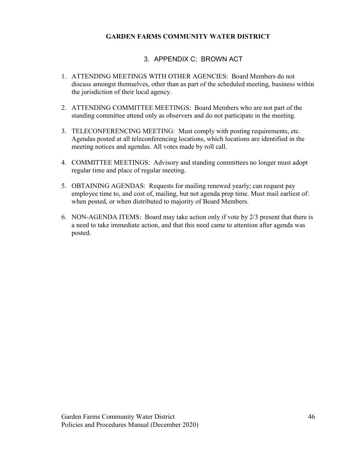## 3. APPENDIX C: BROWN ACT

- 1. ATTENDING MEETINGS WITH OTHER AGENCIES: Board Members do not discuss amongst themselves, other than as part of the scheduled meeting, business within the jurisdiction of their local agency.
- 2. ATTENDING COMMITTEE MEETINGS: Board Members who are not part of the standing committee attend only as observers and do not participate in the meeting.
- 3. TELECONFERENCING MEETING: Must comply with posting requirements, etc. Agendas posted at all teleconferencing locations, which locations are identified in the meeting notices and agendas. All votes made by roll call.
- 4. COMMITTEE MEETINGS: Advisory and standing committees no longer must adopt regular time and place of regular meeting.
- 5. OBTAINING AGENDAS: Requests for mailing renewed yearly; can request pay employee time to, and cost of, mailing, but not agenda prep time. Must mail earliest of: when posted, or when distributed to majority of Board Members.
- 6. NON-AGENDA ITEMS: Board may take action only if vote by 2/3 present that there is a need to take immediate action, and that this need came to attention after agenda was posted.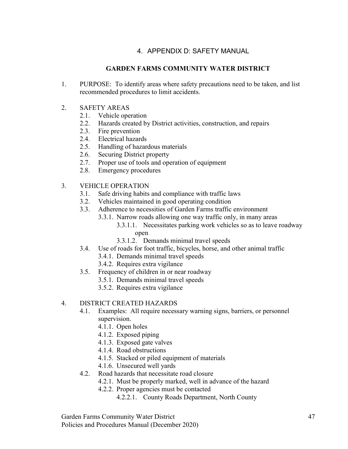## 4. APPENDIX D: SAFETY MANUAL

## GARDEN FARMS COMMUNITY WATER DISTRICT

- 1. PURPOSE: To identify areas where safety precautions need to be taken, and list recommended procedures to limit accidents.
- 2. SAFETY AREAS
	- 2.1. Vehicle operation
	- 2.2. Hazards created by District activities, construction, and repairs
	- 2.3. Fire prevention
	- 2.4. Electrical hazards
	- 2.5. Handling of hazardous materials
	- 2.6. Securing District property
	- 2.7. Proper use of tools and operation of equipment
	- 2.8. Emergency procedures
- 3. VEHICLE OPERATION
	- 3.1. Safe driving habits and compliance with traffic laws
	- 3.2. Vehicles maintained in good operating condition
	- 3.3. Adherence to necessities of Garden Farms traffic environment
		- 3.3.1. Narrow roads allowing one way traffic only, in many areas
			- 3.3.1.1. Necessitates parking work vehicles so as to leave roadway
				- open
			- 3.3.1.2. Demands minimal travel speeds
	- 3.4. Use of roads for foot traffic, bicycles, horse, and other animal traffic
		- 3.4.1. Demands minimal travel speeds
		- 3.4.2. Requires extra vigilance
	- 3.5. Frequency of children in or near roadway
		- 3.5.1. Demands minimal travel speeds
		- 3.5.2. Requires extra vigilance

## 4. DISTRICT CREATED HAZARDS

- 4.1. Examples: All require necessary warning signs, barriers, or personnel supervision.
	- 4.1.1. Open holes
	- 4.1.2. Exposed piping
	- 4.1.3. Exposed gate valves
	- 4.1.4. Road obstructions
	- 4.1.5. Stacked or piled equipment of materials
	- 4.1.6. Unsecured well yards
- 4.2. Road hazards that necessitate road closure
	- 4.2.1. Must be properly marked, well in advance of the hazard
		- 4.2.2. Proper agencies must be contacted
			- 4.2.2.1. County Roads Department, North County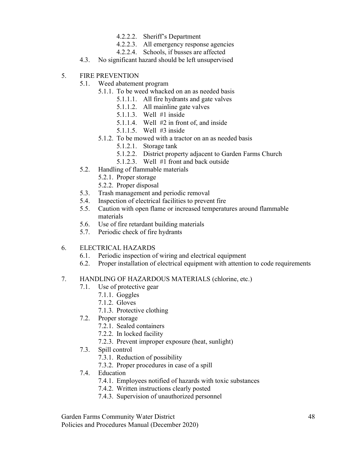- 4.2.2.2. Sheriff's Department
- 4.2.2.3. All emergency response agencies
- 4.2.2.4. Schools, if busses are affected
- 4.3. No significant hazard should be left unsupervised
- 5. FIRE PREVENTION
	- 5.1. Weed abatement program
		- 5.1.1. To be weed whacked on an as needed basis
			- 5.1.1.1. All fire hydrants and gate valves
			- 5.1.1.2. All mainline gate valves
			- 5.1.1.3. Well #1 inside
			- 5.1.1.4. Well #2 in front of, and inside
			- 5.1.1.5. Well #3 inside
		- 5.1.2. To be mowed with a tractor on an as needed basis
			- 5.1.2.1. Storage tank
			- 5.1.2.2. District property adjacent to Garden Farms Church
			- 5.1.2.3. Well #1 front and back outside
	- 5.2. Handling of flammable materials
		- 5.2.1. Proper storage
		- 5.2.2. Proper disposal
	- 5.3. Trash management and periodic removal
	- 5.4. Inspection of electrical facilities to prevent fire
	- 5.5. Caution with open flame or increased temperatures around flammable materials
	- 5.6. Use of fire retardant building materials
	- 5.7. Periodic check of fire hydrants
- 6. ELECTRICAL HAZARDS
	- 6.1. Periodic inspection of wiring and electrical equipment
	- 6.2. Proper installation of electrical equipment with attention to code requirements

## 7. HANDLING OF HAZARDOUS MATERIALS (chlorine, etc.)

- 7.1. Use of protective gear
	- 7.1.1. Goggles
	- 7.1.2. Gloves
	- 7.1.3. Protective clothing
- 7.2. Proper storage
	- 7.2.1. Sealed containers
	- 7.2.2. In locked facility
	- 7.2.3. Prevent improper exposure (heat, sunlight)
- 7.3. Spill control
	- 7.3.1. Reduction of possibility
	- 7.3.2. Proper procedures in case of a spill
- 7.4. Education
	- 7.4.1. Employees notified of hazards with toxic substances
	- 7.4.2. Written instructions clearly posted
	- 7.4.3. Supervision of unauthorized personnel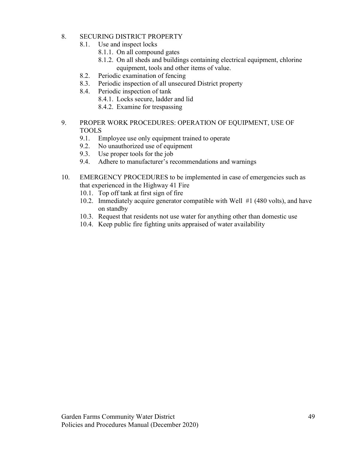### 8. SECURING DISTRICT PROPERTY

- 8.1. Use and inspect locks
	- 8.1.1. On all compound gates
	- 8.1.2. On all sheds and buildings containing electrical equipment, chlorine equipment, tools and other items of value.
- 8.2. Periodic examination of fencing
- 8.3. Periodic inspection of all unsecured District property
- 8.4. Periodic inspection of tank
	- 8.4.1. Locks secure, ladder and lid
	- 8.4.2. Examine for trespassing
- 9. PROPER WORK PROCEDURES: OPERATION OF EQUIPMENT, USE OF TOOLS
	- 9.1. Employee use only equipment trained to operate
	- 9.2. No unauthorized use of equipment
	- 9.3. Use proper tools for the job
	- 9.4. Adhere to manufacturer's recommendations and warnings
- 10. EMERGENCY PROCEDURES to be implemented in case of emergencies such as that experienced in the Highway 41 Fire
	- 10.1. Top off tank at first sign of fire
	- 10.2. Immediately acquire generator compatible with Well #1 (480 volts), and have on standby
	- 10.3. Request that residents not use water for anything other than domestic use
	- 10.4. Keep public fire fighting units appraised of water availability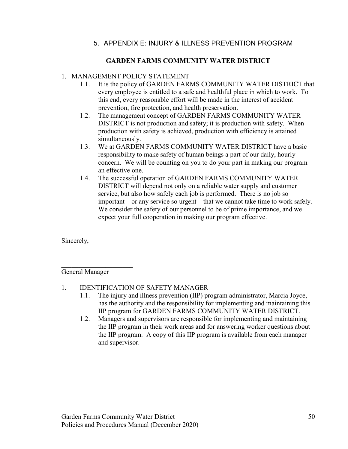## 5. APPENDIX E: INJURY & ILLNESS PREVENTION PROGRAM

## GARDEN FARMS COMMUNITY WATER DISTRICT

## 1. MANAGEMENT POLICY STATEMENT

- 1.1. It is the policy of GARDEN FARMS COMMUNITY WATER DISTRICT that every employee is entitled to a safe and healthful place in which to work. To this end, every reasonable effort will be made in the interest of accident prevention, fire protection, and health preservation.
- 1.2. The management concept of GARDEN FARMS COMMUNITY WATER DISTRICT is not production and safety; it is production with safety. When production with safety is achieved, production with efficiency is attained simultaneously.
- 1.3. We at GARDEN FARMS COMMUNITY WATER DISTRICT have a basic responsibility to make safety of human beings a part of our daily, hourly concern. We will be counting on you to do your part in making our program an effective one.
- 1.4. The successful operation of GARDEN FARMS COMMUNITY WATER DISTRICT will depend not only on a reliable water supply and customer service, but also how safely each job is performed. There is no job so important – or any service so urgent – that we cannot take time to work safely. We consider the safety of our personnel to be of prime importance, and we expect your full cooperation in making our program effective.

Sincerely,

General Manager

 $\mathcal{L}_\text{max}$  , where  $\mathcal{L}_\text{max}$ 

- 1. IDENTIFICATION OF SAFETY MANAGER
	- 1.1. The injury and illness prevention (IIP) program administrator, Marcia Joyce, has the authority and the responsibility for implementing and maintaining this IIP program for GARDEN FARMS COMMUNITY WATER DISTRICT.
	- 1.2. Managers and supervisors are responsible for implementing and maintaining the IIP program in their work areas and for answering worker questions about the IIP program. A copy of this IIP program is available from each manager and supervisor.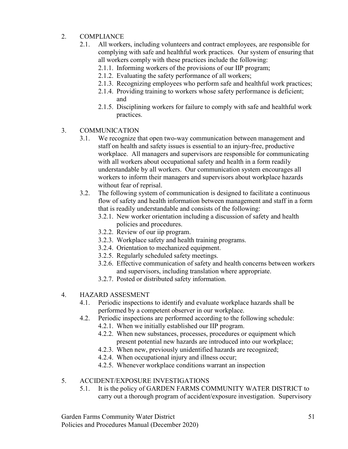## 2. COMPLIANCE

- 2.1. All workers, including volunteers and contract employees, are responsible for complying with safe and healthful work practices. Our system of ensuring that all workers comply with these practices include the following:
	- 2.1.1. Informing workers of the provisions of our IIP program;
	- 2.1.2. Evaluating the safety performance of all workers;
	- 2.1.3. Recognizing employees who perform safe and healthful work practices;
	- 2.1.4. Providing training to workers whose safety performance is deficient; and
	- 2.1.5. Disciplining workers for failure to comply with safe and healthful work practices.
- 3. COMMUNICATION
	- 3.1. We recognize that open two-way communication between management and staff on health and safety issues is essential to an injury-free, productive workplace. All managers and supervisors are responsible for communicating with all workers about occupational safety and health in a form readily understandable by all workers. Our communication system encourages all workers to inform their managers and supervisors about workplace hazards without fear of reprisal.
	- 3.2. The following system of communication is designed to facilitate a continuous flow of safety and health information between management and staff in a form that is readily understandable and consists of the following:
		- 3.2.1. New worker orientation including a discussion of safety and health policies and procedures.
		- 3.2.2. Review of our iip program.
		- 3.2.3. Workplace safety and health training programs.
		- 3.2.4. Orientation to mechanized equipment.
		- 3.2.5. Regularly scheduled safety meetings.
		- 3.2.6. Effective communication of safety and health concerns between workers and supervisors, including translation where appropriate.
		- 3.2.7. Posted or distributed safety information.
- 4. HAZARD ASSESMENT
	- 4.1. Periodic inspections to identify and evaluate workplace hazards shall be performed by a competent observer in our workplace.
	- 4.2. Periodic inspections are performed according to the following schedule:
		- 4.2.1. When we initially established our IIP program.
		- 4.2.2. When new substances, processes, procedures or equipment which present potential new hazards are introduced into our workplace;
		- 4.2.3. When new, previously unidentified hazards are recognized;
		- 4.2.4. When occupational injury and illness occur;
		- 4.2.5. Whenever workplace conditions warrant an inspection

## 5. ACCIDENT/EXPOSURE INVESTIGATIONS

5.1. It is the policy of GARDEN FARMS COMMUNITY WATER DISTRICT to carry out a thorough program of accident/exposure investigation. Supervisory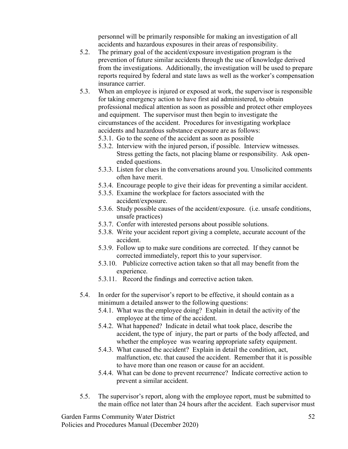personnel will be primarily responsible for making an investigation of all accidents and hazardous exposures in their areas of responsibility.

- 5.2. The primary goal of the accident/exposure investigation program is the prevention of future similar accidents through the use of knowledge derived from the investigations. Additionally, the investigation will be used to prepare reports required by federal and state laws as well as the worker's compensation insurance carrier.
- 5.3. When an employee is injured or exposed at work, the supervisor is responsible for taking emergency action to have first aid administered, to obtain professional medical attention as soon as possible and protect other employees and equipment. The supervisor must then begin to investigate the circumstances of the accident. Procedures for investigating workplace accidents and hazardous substance exposure are as follows: 5.3.1. Go to the scene of the accident as soon as possible
	-
	- 5.3.2. Interview with the injured person, if possible. Interview witnesses. Stress getting the facts, not placing blame or responsibility. Ask openended questions.
	- 5.3.3. Listen for clues in the conversations around you. Unsolicited comments often have merit.
	- 5.3.4. Encourage people to give their ideas for preventing a similar accident.
	- 5.3.5. Examine the workplace for factors associated with the accident/exposure.
	- 5.3.6. Study possible causes of the accident/exposure. (i.e. unsafe conditions, unsafe practices)
	- 5.3.7. Confer with interested persons about possible solutions.
	- 5.3.8. Write your accident report giving a complete, accurate account of the accident.
	- 5.3.9. Follow up to make sure conditions are corrected. If they cannot be corrected immediately, report this to your supervisor.
	- 5.3.10. Publicize corrective action taken so that all may benefit from the experience.
	- 5.3.11. Record the findings and corrective action taken.
- 5.4. In order for the supervisor's report to be effective, it should contain as a minimum a detailed answer to the following questions:
	- 5.4.1. What was the employee doing? Explain in detail the activity of the employee at the time of the accident.
	- 5.4.2. What happened? Indicate in detail what took place, describe the accident, the type of injury, the part or parts of the body affected, and whether the employee was wearing appropriate safety equipment.
	- 5.4.3. What caused the accident? Explain in detail the condition, act, malfunction, etc. that caused the accident. Remember that it is possible to have more than one reason or cause for an accident.
	- 5.4.4. What can be done to prevent recurrence? Indicate corrective action to prevent a similar accident.
- 5.5. The supervisor's report, along with the employee report, must be submitted to the main office not later than 24 hours after the accident. Each supervisor must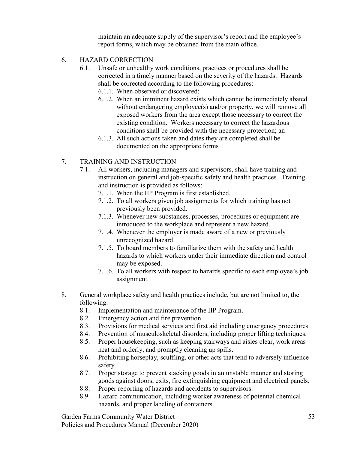maintain an adequate supply of the supervisor's report and the employee's report forms, which may be obtained from the main office.

- 6. HAZARD CORRECTION
	- 6.1. Unsafe or unhealthy work conditions, practices or procedures shall be corrected in a timely manner based on the severity of the hazards. Hazards shall be corrected according to the following procedures: 6.1.1. When observed or discovered;
		- 6.1.2. When an imminent hazard exists which cannot be immediately abated without endangering employee(s) and/or property, we will remove all exposed workers from the area except those necessary to correct the existing condition. Workers necessary to correct the hazardous conditions shall be provided with the necessary protection; an
		- 6.1.3. All such actions taken and dates they are completed shall be documented on the appropriate forms
- 7. TRAINING AND INSTRUCTION
	- 7.1. All workers, including managers and supervisors, shall have training and instruction on general and job-specific safety and health practices. Training and instruction is provided as follows:
		- 7.1.1. When the IIP Program is first established.
		- 7.1.2. To all workers given job assignments for which training has not previously been provided.
		- 7.1.3. Whenever new substances, processes, procedures or equipment are introduced to the workplace and represent a new hazard.
		- 7.1.4. Whenever the employer is made aware of a new or previously unrecognized hazard.
		- 7.1.5. To board members to familiarize them with the safety and health hazards to which workers under their immediate direction and control may be exposed.
		- 7.1.6. To all workers with respect to hazards specific to each employee's job assignment.
- 8. General workplace safety and health practices include, but are not limited to, the following:
	- 8.1. Implementation and maintenance of the IIP Program.
	- 8.2. Emergency action and fire prevention.
	- 8.3. Provisions for medical services and first aid including emergency procedures.
	- 8.4. Prevention of musculoskeletal disorders, including proper lifting techniques.
	- 8.5. Proper housekeeping, such as keeping stairways and aisles clear, work areas neat and orderly, and promptly cleaning up spills.
	- 8.6. Prohibiting horseplay, scuffling, or other acts that tend to adversely influence safety.
	- 8.7. Proper storage to prevent stacking goods in an unstable manner and storing goods against doors, exits, fire extinguishing equipment and electrical panels.
	- 8.8. Proper reporting of hazards and accidents to supervisors.
	- 8.9. Hazard communication, including worker awareness of potential chemical hazards, and proper labeling of containers.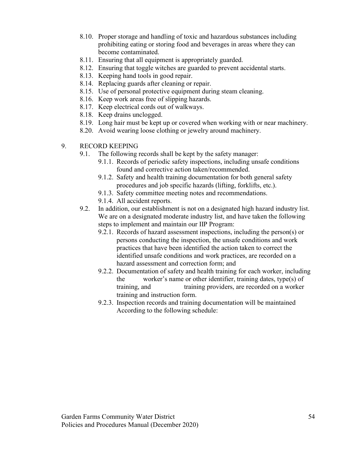- 8.10. Proper storage and handling of toxic and hazardous substances including prohibiting eating or storing food and beverages in areas where they can become contaminated.
- 8.11. Ensuring that all equipment is appropriately guarded.
- 8.12. Ensuring that toggle witches are guarded to prevent accidental starts.
- 8.13. Keeping hand tools in good repair.
- 8.14. Replacing guards after cleaning or repair.
- 8.15. Use of personal protective equipment during steam cleaning.
- 8.16. Keep work areas free of slipping hazards.
- 8.17. Keep electrical cords out of walkways.
- 8.18. Keep drains unclogged.
- 8.19. Long hair must be kept up or covered when working with or near machinery.
- 8.20. Avoid wearing loose clothing or jewelry around machinery.
- 9. RECORD KEEPING
	- 9.1. The following records shall be kept by the safety manager:
		- 9.1.1. Records of periodic safety inspections, including unsafe conditions found and corrective action taken/recommended.
		- 9.1.2. Safety and health training documentation for both general safety procedures and job specific hazards (lifting, forklifts, etc.).
		- 9.1.3. Safety committee meeting notes and recommendations.
		- 9.1.4. All accident reports.
	- 9.2. In addition, our establishment is not on a designated high hazard industry list. We are on a designated moderate industry list, and have taken the following steps to implement and maintain our IIP Program:
		- 9.2.1. Records of hazard assessment inspections, including the person(s) or persons conducting the inspection, the unsafe conditions and work practices that have been identified the action taken to correct the identified unsafe conditions and work practices, are recorded on a hazard assessment and correction form; and
		- 9.2.2. Documentation of safety and health training for each worker, including the worker's name or other identifier, training dates, type(s) of training, and training providers, are recorded on a worker training and instruction form.
		- 9.2.3. Inspection records and training documentation will be maintained According to the following schedule: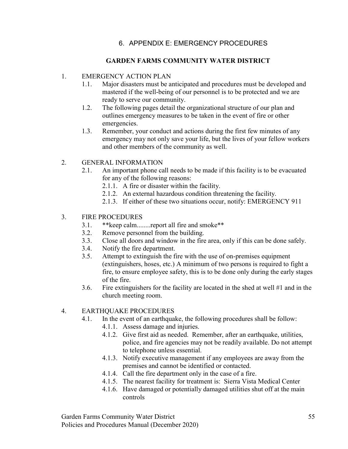## 6. APPENDIX E: EMERGENCY PROCEDURES

## GARDEN FARMS COMMUNITY WATER DISTRICT

### 1. EMERGENCY ACTION PLAN

- 1.1. Major disasters must be anticipated and procedures must be developed and mastered if the well-being of our personnel is to be protected and we are ready to serve our community.
- 1.2. The following pages detail the organizational structure of our plan and outlines emergency measures to be taken in the event of fire or other emergencies.
- 1.3. Remember, your conduct and actions during the first few minutes of any emergency may not only save your life, but the lives of your fellow workers and other members of the community as well.

## 2. GENERAL INFORMATION

- 2.1. An important phone call needs to be made if this facility is to be evacuated for any of the following reasons:
	- 2.1.1. A fire or disaster within the facility.
	- 2.1.2. An external hazardous condition threatening the facility.
	- 2.1.3. If either of these two situations occur, notify: EMERGENCY 911

#### 3. FIRE PROCEDURES

- 3.1. \*\*keep calm........report all fire and smoke\*\*
- 3.2. Remove personnel from the building.
- 3.3. Close all doors and window in the fire area, only if this can be done safely.
- 3.4. Notify the fire department.
- 3.5. Attempt to extinguish the fire with the use of on-premises equipment (extinguishers, hoses, etc.) A minimum of two persons is required to fight a fire, to ensure employee safety, this is to be done only during the early stages of the fire.
- 3.6. Fire extinguishers for the facility are located in the shed at well #1 and in the church meeting room.

#### 4. EARTHQUAKE PROCEDURES

- 4.1. In the event of an earthquake, the following procedures shall be follow:
	- 4.1.1. Assess damage and injuries.
	- 4.1.2. Give first aid as needed. Remember, after an earthquake, utilities, police, and fire agencies may not be readily available. Do not attempt to telephone unless essential.
	- 4.1.3. Notify executive management if any employees are away from the premises and cannot be identified or contacted.
	- 4.1.4. Call the fire department only in the case of a fire.
	- 4.1.5. The nearest facility for treatment is: Sierra Vista Medical Center
	- 4.1.6. Have damaged or potentially damaged utilities shut off at the main controls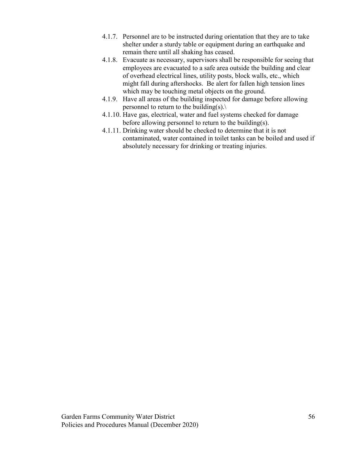- 4.1.7. Personnel are to be instructed during orientation that they are to take shelter under a sturdy table or equipment during an earthquake and remain there until all shaking has ceased.
- 4.1.8. Evacuate as necessary, supervisors shall be responsible for seeing that employees are evacuated to a safe area outside the building and clear of overhead electrical lines, utility posts, block walls, etc., which might fall during aftershocks. Be alert for fallen high tension lines which may be touching metal objects on the ground.
- 4.1.9. Have all areas of the building inspected for damage before allowing personnel to return to the building(s). $\setminus$
- 4.1.10. Have gas, electrical, water and fuel systems checked for damage before allowing personnel to return to the building(s).
- 4.1.11. Drinking water should be checked to determine that it is not contaminated, water contained in toilet tanks can be boiled and used if absolutely necessary for drinking or treating injuries.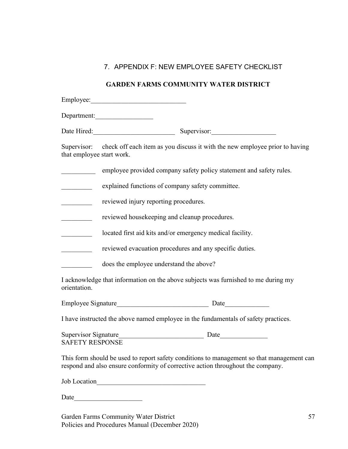## 7. APPENDIX F: NEW EMPLOYEE SAFETY CHECKLIST

## GARDEN FARMS COMMUNITY WATER DISTRICT

|                                               | Department:                                                                                                                                                                  |  |  |
|-----------------------------------------------|------------------------------------------------------------------------------------------------------------------------------------------------------------------------------|--|--|
|                                               | Date Hired: Supervisor: Supervisor:                                                                                                                                          |  |  |
|                                               | Supervisor: check off each item as you discuss it with the new employee prior to having<br>that employee start work.                                                         |  |  |
|                                               | employee provided company safety policy statement and safety rules.                                                                                                          |  |  |
|                                               | explained functions of company safety committee.                                                                                                                             |  |  |
|                                               | reviewed injury reporting procedures.                                                                                                                                        |  |  |
|                                               | reviewed housekeeping and cleanup procedures.                                                                                                                                |  |  |
|                                               | located first aid kits and/or emergency medical facility.                                                                                                                    |  |  |
| $\frac{1}{2}$ . The contract of $\frac{1}{2}$ | reviewed evacuation procedures and any specific duties.                                                                                                                      |  |  |
|                                               | does the employee understand the above?                                                                                                                                      |  |  |
| orientation.                                  | I acknowledge that information on the above subjects was furnished to me during my                                                                                           |  |  |
|                                               |                                                                                                                                                                              |  |  |
|                                               | I have instructed the above named employee in the fundamentals of safety practices.                                                                                          |  |  |
| <b>SAFETY RESPONSE</b>                        |                                                                                                                                                                              |  |  |
|                                               | This form should be used to report safety conditions to management so that management can<br>respond and also ensure conformity of corrective action throughout the company. |  |  |

Job Location\_\_\_\_\_\_\_\_\_\_\_\_\_\_\_\_\_\_\_\_\_\_\_\_\_\_\_\_\_\_\_\_

Date\_\_\_\_\_\_\_\_\_\_\_\_\_\_\_\_\_\_\_\_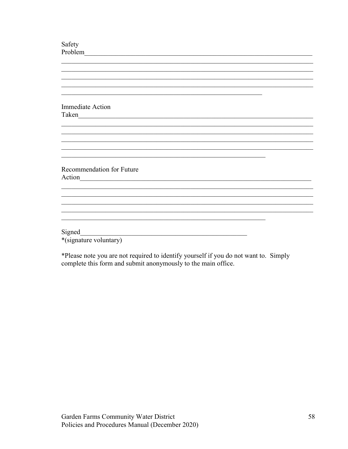| Safety                                                       |
|--------------------------------------------------------------|
| Problem                                                      |
|                                                              |
|                                                              |
|                                                              |
|                                                              |
|                                                              |
|                                                              |
| <b>Immediate Action</b>                                      |
| Taken<br><u> 1980 - Jan Barbara, martin da kasar A</u>       |
|                                                              |
|                                                              |
|                                                              |
|                                                              |
|                                                              |
|                                                              |
| Recommendation for Future                                    |
| Action<br><u> 1980 - John Stone, Amerikaansk politiker (</u> |
|                                                              |
|                                                              |
|                                                              |
|                                                              |
|                                                              |
|                                                              |
| Signed                                                       |
| *(signature voluntary)                                       |

\*Please note you are not required to identify yourself if you do not want to. Simply complete this form and submit anonymously to the main office.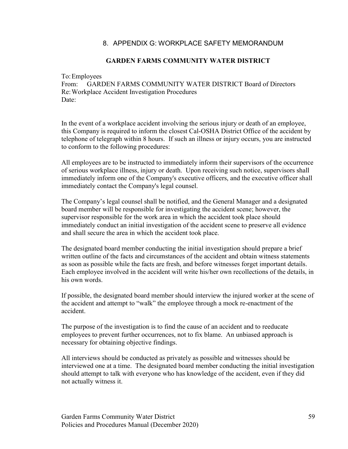## 8. APPENDIX G: WORKPLACE SAFETY MEMORANDUM

### GARDEN FARMS COMMUNITY WATER DISTRICT

To: Employees

From: GARDEN FARMS COMMUNITY WATER DISTRICT Board of Directors Re: Workplace Accident Investigation Procedures Date:

In the event of a workplace accident involving the serious injury or death of an employee, this Company is required to inform the closest Cal-OSHA District Office of the accident by telephone of telegraph within 8 hours. If such an illness or injury occurs, you are instructed to conform to the following procedures:

All employees are to be instructed to immediately inform their supervisors of the occurrence of serious workplace illness, injury or death. Upon receiving such notice, supervisors shall immediately inform one of the Company's executive officers, and the executive officer shall immediately contact the Company's legal counsel.

The Company's legal counsel shall be notified, and the General Manager and a designated board member will be responsible for investigating the accident scene; however, the supervisor responsible for the work area in which the accident took place should immediately conduct an initial investigation of the accident scene to preserve all evidence and shall secure the area in which the accident took place.

The designated board member conducting the initial investigation should prepare a brief written outline of the facts and circumstances of the accident and obtain witness statements as soon as possible while the facts are fresh, and before witnesses forget important details. Each employee involved in the accident will write his/her own recollections of the details, in his own words.

If possible, the designated board member should interview the injured worker at the scene of the accident and attempt to "walk" the employee through a mock re-enactment of the accident.

The purpose of the investigation is to find the cause of an accident and to reeducate employees to prevent further occurrences, not to fix blame. An unbiased approach is necessary for obtaining objective findings.

All interviews should be conducted as privately as possible and witnesses should be interviewed one at a time. The designated board member conducting the initial investigation should attempt to talk with everyone who has knowledge of the accident, even if they did not actually witness it.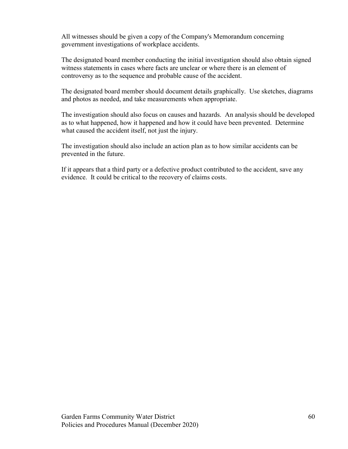All witnesses should be given a copy of the Company's Memorandum concerning government investigations of workplace accidents.

The designated board member conducting the initial investigation should also obtain signed witness statements in cases where facts are unclear or where there is an element of controversy as to the sequence and probable cause of the accident.

The designated board member should document details graphically. Use sketches, diagrams and photos as needed, and take measurements when appropriate.

The investigation should also focus on causes and hazards. An analysis should be developed as to what happened, how it happened and how it could have been prevented. Determine what caused the accident itself, not just the injury.

The investigation should also include an action plan as to how similar accidents can be prevented in the future.

If it appears that a third party or a defective product contributed to the accident, save any evidence. It could be critical to the recovery of claims costs.